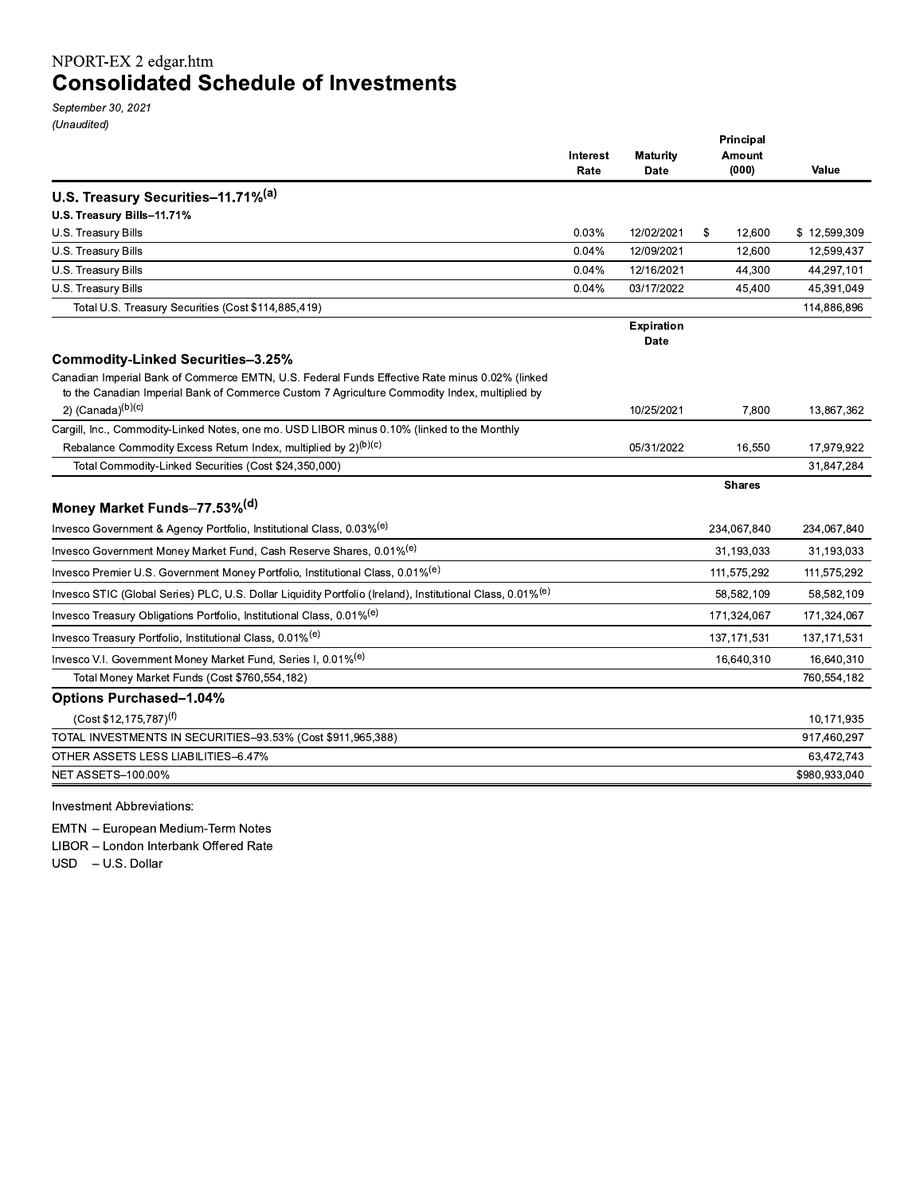# NPORT-EX 2 edgar.htm **Consolidated Schedule of Investments**

September 30, 2021 (Unaudited)

|                                                                                                                                                                                                 | Interest<br>Rate | <b>Maturity</b><br><b>Date</b> | Principal<br>Amount<br>(000) | Value         |
|-------------------------------------------------------------------------------------------------------------------------------------------------------------------------------------------------|------------------|--------------------------------|------------------------------|---------------|
| U.S. Treasury Securities-11.71%(a)                                                                                                                                                              |                  |                                |                              |               |
| U.S. Treasury Bills-11.71%                                                                                                                                                                      |                  |                                |                              |               |
| U.S. Treasury Bills                                                                                                                                                                             | 0.03%            | 12/02/2021                     | \$<br>12,600                 | \$12,599,309  |
| U.S. Treasury Bills                                                                                                                                                                             | 0.04%            | 12/09/2021                     | 12,600                       | 12,599,437    |
| U.S. Treasury Bills                                                                                                                                                                             | 0.04%            | 12/16/2021                     | 44,300                       | 44,297,101    |
| U.S. Treasury Bills                                                                                                                                                                             | 0.04%            | 03/17/2022                     | 45,400                       | 45,391,049    |
| Total U.S. Treasury Securities (Cost \$114,885,419)                                                                                                                                             |                  |                                |                              | 114,886,896   |
|                                                                                                                                                                                                 |                  | <b>Expiration</b><br>Date      |                              |               |
| <b>Commodity-Linked Securities-3.25%</b>                                                                                                                                                        |                  |                                |                              |               |
| Canadian Imperial Bank of Commerce EMTN, U.S. Federal Funds Effective Rate minus 0.02% (linked<br>to the Canadian Imperial Bank of Commerce Custom 7 Agriculture Commodity Index, multiplied by |                  |                                |                              |               |
| 2) $(Canada)^{(b)(c)}$                                                                                                                                                                          |                  | 10/25/2021                     | 7,800                        | 13,867,362    |
| Cargill, Inc., Commodity-Linked Notes, one mo. USD LIBOR minus 0.10% (linked to the Monthly                                                                                                     |                  |                                |                              |               |
| Rebalance Commodity Excess Return Index, multiplied by 2) <sup>(b)(c)</sup>                                                                                                                     |                  | 05/31/2022                     | 16,550                       | 17,979,922    |
| Total Commodity-Linked Securities (Cost \$24,350,000)                                                                                                                                           |                  |                                |                              | 31,847,284    |
| Money Market Funds-77.53%(d)                                                                                                                                                                    |                  |                                | <b>Shares</b>                |               |
| Invesco Government & Agency Portfolio, Institutional Class, 0.03% <sup>(e)</sup>                                                                                                                |                  |                                | 234,067,840                  | 234,067,840   |
| Invesco Government Money Market Fund, Cash Reserve Shares, 0.01% <sup>(e)</sup>                                                                                                                 |                  |                                | 31,193,033                   | 31,193,033    |
| Invesco Premier U.S. Government Money Portfolio, Institutional Class, 0.01% <sup>(e)</sup>                                                                                                      |                  |                                | 111,575,292                  | 111,575,292   |
| Invesco STIC (Global Series) PLC, U.S. Dollar Liquidity Portfolio (Ireland), Institutional Class, 0.01% <sup>(e)</sup>                                                                          |                  |                                | 58,582,109                   | 58,582,109    |
| Invesco Treasury Obligations Portfolio, Institutional Class, 0.01% <sup>(e)</sup>                                                                                                               |                  |                                | 171,324,067                  | 171,324,067   |
| Invesco Treasury Portfolio, Institutional Class, 0.01% <sup>(e)</sup>                                                                                                                           |                  |                                | 137, 171, 531                | 137, 171, 531 |
| Invesco V.I. Government Money Market Fund, Series I, 0.01% <sup>(e)</sup>                                                                                                                       |                  |                                | 16,640,310                   | 16,640,310    |
| Total Money Market Funds (Cost \$760,554,182)                                                                                                                                                   |                  |                                |                              | 760,554,182   |
| <b>Options Purchased-1.04%</b>                                                                                                                                                                  |                  |                                |                              |               |
| $(Cost $12, 175, 787)^{(f)}$                                                                                                                                                                    |                  |                                |                              | 10,171,935    |
| TOTAL INVESTMENTS IN SECURITIES-93.53% (Cost \$911,965,388)                                                                                                                                     |                  |                                |                              | 917,460,297   |
| OTHER ASSETS LESS LIABILITIES-6.47%                                                                                                                                                             |                  |                                |                              | 63,472,743    |
| <b>NET ASSETS-100 00%</b>                                                                                                                                                                       |                  |                                |                              | \$980,933,040 |
|                                                                                                                                                                                                 |                  |                                |                              |               |

Investment Abbreviations:

EMTN - European Medium-Term Notes LIBOR - London Interbank Offered Rate USD - U.S. Dollar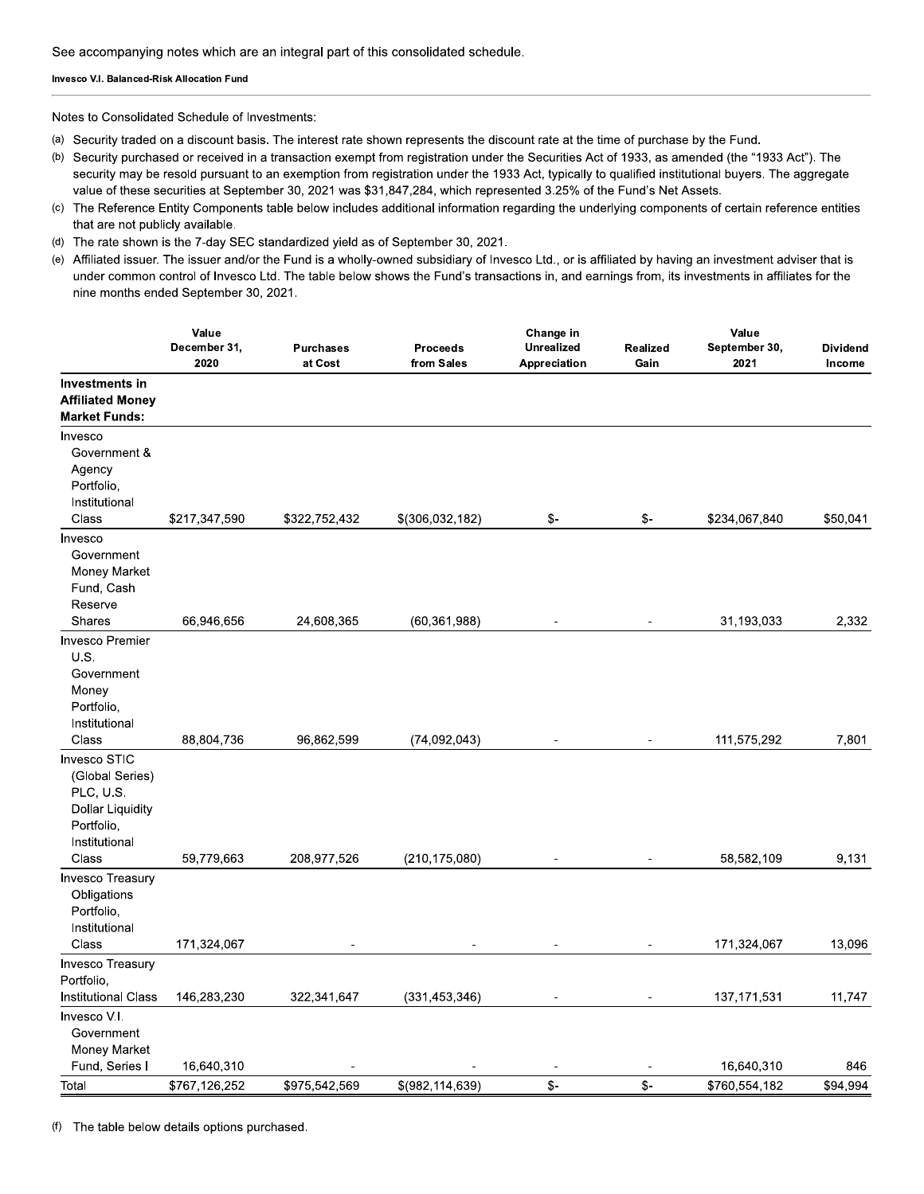#### Invesco V.I. Balanced-Risk Allocation Fund

Notes to Consolidated Schedule of Investments:

- (a) Security traded on a discount basis. The interest rate shown represents the discount rate at the time of purchase by the Fund.
- (b) Security purchased or received in a transaction exempt from registration under the Securities Act of 1933, as amended (the "1933 Act"). The security may be resold pursuant to an exemption from registration under the 1933 Act, typically to qualified institutional buyers. The aggregate value of these securities at September 30, 2021 was \$31,847,284, which represented 3.25% of the Fund's Net Assets.
- (c) The Reference Entity Components table below includes additional information regarding the underlying components of certain reference entities that are not publicly available.
- (d) The rate shown is the 7-day SEC standardized yield as of September 30, 2021.
- (e) Affiliated issuer. The issuer and/or the Fund is a wholly-owned subsidiary of Invesco Ltd., or is affiliated by having an investment adviser that is under common control of Invesco Ltd. The table below shows the Fund's transactions in, and earnings from, its investments in affiliates for the nine months ended September 30, 2021.

|                                                                                                                 | Value<br>December 31,<br>2020 | <b>Purchases</b><br>at Cost | <b>Proceeds</b><br>from Sales | Change in<br><b>Unrealized</b><br>Appreciation | Realized<br>Gain | Value<br>September 30,<br>2021 | <b>Dividend</b><br>Income |
|-----------------------------------------------------------------------------------------------------------------|-------------------------------|-----------------------------|-------------------------------|------------------------------------------------|------------------|--------------------------------|---------------------------|
| Investments in<br><b>Affiliated Money</b><br><b>Market Funds:</b>                                               |                               |                             |                               |                                                |                  |                                |                           |
| Invesco<br>Government &<br>Agency<br>Portfolio,<br>Institutional<br>Class                                       | \$217,347,590                 | \$322,752,432               | \$(306,032,182)               | \$-                                            | \$-              | \$234,067,840                  | \$50,041                  |
| Invesco<br>Government<br>Money Market<br>Fund, Cash<br>Reserve                                                  |                               |                             |                               |                                                |                  |                                |                           |
| <b>Shares</b>                                                                                                   | 66,946,656                    | 24,608,365                  | (60, 361, 988)                |                                                |                  | 31,193,033                     | 2,332                     |
| <b>Invesco Premier</b><br>U.S.<br>Government<br>Money<br>Portfolio,<br>Institutional<br>Class                   | 88,804,736                    | 96,862,599                  | (74, 092, 043)                |                                                |                  | 111,575,292                    | 7,801                     |
| Invesco STIC<br>(Global Series)<br>PLC, U.S.<br><b>Dollar Liquidity</b><br>Portfolio,<br>Institutional<br>Class | 59,779,663                    | 208,977,526                 | (210, 175, 080)               |                                                |                  | 58,582,109                     | 9,131                     |
| Invesco Treasury<br>Obligations<br>Portfolio,<br>Institutional<br>Class                                         | 171,324,067                   |                             |                               |                                                |                  | 171,324,067                    | 13,096                    |
| <b>Invesco Treasury</b><br>Portfolio,<br><b>Institutional Class</b>                                             | 146,283,230                   | 322,341,647                 | (331, 453, 346)               |                                                |                  | 137, 171, 531                  | 11,747                    |
| Invesco V.I.<br>Government<br>Money Market                                                                      |                               |                             |                               |                                                |                  |                                |                           |
| Fund, Series I                                                                                                  | 16,640,310                    |                             |                               | $\overline{\phantom{a}}$                       | $\overline{a}$   | 16,640,310                     | 846                       |
| Total                                                                                                           | \$767,126,252                 | \$975,542,569               | \$(982, 114, 639)             | $\frac{2}{3}$                                  | \$-              | \$760,554,182                  | \$94,994                  |

(f) The table below details options purchased.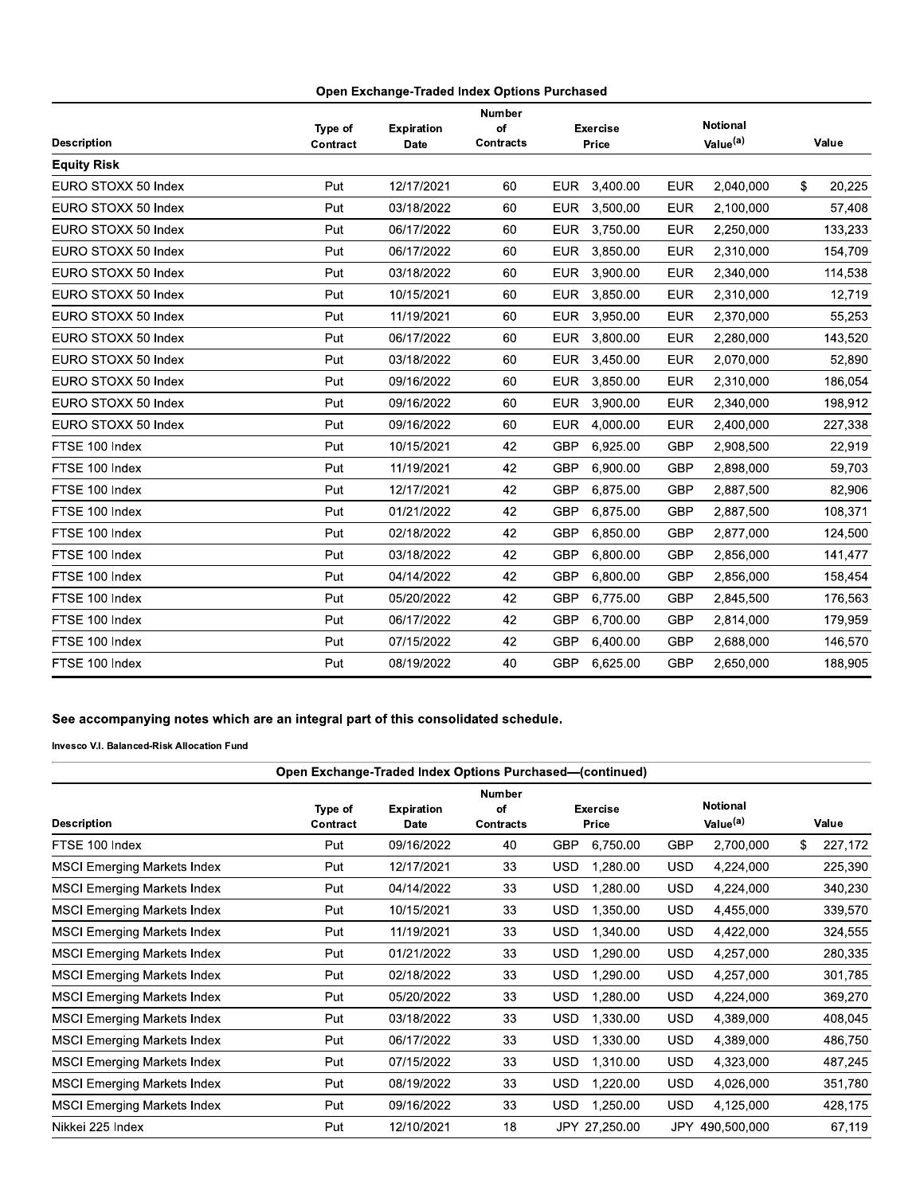|                     |          |                   | <b>Number</b>    |            |                 |            |                      |              |
|---------------------|----------|-------------------|------------------|------------|-----------------|------------|----------------------|--------------|
|                     | Type of  | <b>Expiration</b> | of               |            | <b>Exercise</b> |            | <b>Notional</b>      |              |
| <b>Description</b>  | Contract | Date              | <b>Contracts</b> |            | Price           |            | Value <sup>(a)</sup> | Value        |
| <b>Equity Risk</b>  |          |                   |                  |            |                 |            |                      |              |
| EURO STOXX 50 Index | Put      | 12/17/2021        | 60               | <b>EUR</b> | 3.400.00        | <b>EUR</b> | 2.040.000            | \$<br>20.225 |
| EURO STOXX 50 Index | Put      | 03/18/2022        | 60               | <b>EUR</b> | 3,500.00        | <b>EUR</b> | 2,100,000            | 57,408       |
| EURO STOXX 50 Index | Put      | 06/17/2022        | 60               | <b>EUR</b> | 3.750.00        | <b>EUR</b> | 2.250,000            | 133,233      |
| EURO STOXX 50 Index | Put      | 06/17/2022        | 60               | <b>EUR</b> | 3.850.00        | <b>EUR</b> | 2.310.000            | 154.709      |
| EURO STOXX 50 Index | Put      | 03/18/2022        | 60               | <b>EUR</b> | 3,900.00        | <b>EUR</b> | 2,340,000            | 114,538      |
| EURO STOXX 50 Index | Put      | 10/15/2021        | 60               | <b>EUR</b> | 3.850.00        | <b>EUR</b> | 2.310.000            | 12.719       |
| EURO STOXX 50 Index | Put      | 11/19/2021        | 60               | <b>EUR</b> | 3,950.00        | <b>EUR</b> | 2,370,000            | 55.253       |
| EURO STOXX 50 Index | Put      | 06/17/2022        | 60               | <b>EUR</b> | 3,800.00        | <b>EUR</b> | 2,280,000            | 143,520      |
| EURO STOXX 50 Index | Put      | 03/18/2022        | 60               | <b>EUR</b> | 3,450.00        | <b>EUR</b> | 2.070.000            | 52,890       |
| EURO STOXX 50 Index | Put      | 09/16/2022        | 60               | <b>EUR</b> | 3,850.00        | <b>EUR</b> | 2,310,000            | 186,054      |
| EURO STOXX 50 Index | Put      | 09/16/2022        | 60               | <b>EUR</b> | 3,900.00        | <b>EUR</b> | 2,340,000            | 198,912      |
| EURO STOXX 50 Index | Put      | 09/16/2022        | 60               | <b>EUR</b> | 4,000.00        | <b>EUR</b> | 2,400,000            | 227,338      |
| FTSE 100 Index      | Put      | 10/15/2021        | 42               | <b>GBP</b> | 6,925.00        | <b>GBP</b> | 2,908,500            | 22,919       |
| FTSE 100 Index      | Put      | 11/19/2021        | 42               | <b>GBP</b> | 6,900.00        | <b>GBP</b> | 2,898,000            | 59,703       |
| FTSE 100 Index      | Put      | 12/17/2021        | 42               | GBP        | 6,875.00        | <b>GBP</b> | 2,887,500            | 82,906       |
| FTSE 100 Index      | Put      | 01/21/2022        | 42               | <b>GBP</b> | 6,875.00        | <b>GBP</b> | 2,887,500            | 108,371      |
| FTSE 100 Index      | Put      | 02/18/2022        | 42               | <b>GBP</b> | 6.850.00        | <b>GBP</b> | 2,877,000            | 124,500      |
| FTSE 100 Index      | Put      | 03/18/2022        | 42               | <b>GBP</b> | 6,800.00        | <b>GBP</b> | 2,856,000            | 141,477      |
| FTSE 100 Index      | Put      | 04/14/2022        | 42               | <b>GBP</b> | 6,800.00        | <b>GBP</b> | 2,856,000            | 158,454      |
| FTSE 100 Index      | Put      | 05/20/2022        | 42               | <b>GBP</b> | 6.775.00        | <b>GBP</b> | 2,845,500            | 176,563      |
| FTSE 100 Index      | Put      | 06/17/2022        | 42               | <b>GBP</b> | 6,700.00        | <b>GBP</b> | 2,814,000            | 179,959      |
| FTSE 100 Index      | Put      | 07/15/2022        | 42               | <b>GBP</b> | 6,400.00        | <b>GBP</b> | 2,688,000            | 146,570      |
| FTSE 100 Index      | Put      | 08/19/2022        | 40               | <b>GBP</b> | 6,625.00        | <b>GBP</b> | 2,650,000            | 188,905      |

## See accompanying notes which are an integral part of this consolidated schedule.

|                                    |                     |                                  |                                         | Open Exchange-Traded Index Options Purchased-(continued) |                                         |               |
|------------------------------------|---------------------|----------------------------------|-----------------------------------------|----------------------------------------------------------|-----------------------------------------|---------------|
| <b>Description</b>                 | Type of<br>Contract | <b>Expiration</b><br><b>Date</b> | <b>Number</b><br>of<br><b>Contracts</b> | <b>Exercise</b><br>Price                                 | <b>Notional</b><br>Value <sup>(a)</sup> | Value         |
| FTSE 100 Index                     | Put                 | 09/16/2022                       | 40                                      | 6,750.00<br>GBP                                          | <b>GBP</b><br>2,700,000                 | \$<br>227,172 |
| <b>MSCI Emerging Markets Index</b> | Put                 | 12/17/2021                       | 33                                      | 1,280.00<br><b>USD</b>                                   | 4,224,000<br><b>USD</b>                 | 225,390       |
| <b>MSCI Emerging Markets Index</b> | Put                 | 04/14/2022                       | 33                                      | <b>USD</b><br>1,280.00                                   | <b>USD</b><br>4,224,000                 | 340,230       |
| <b>MSCI Emerging Markets Index</b> | Put                 | 10/15/2021                       | 33                                      | <b>USD</b><br>1,350.00                                   | <b>USD</b><br>4,455,000                 | 339,570       |
| <b>MSCI Emerging Markets Index</b> | Put                 | 11/19/2021                       | 33                                      | <b>USD</b><br>1,340.00                                   | <b>USD</b><br>4,422,000                 | 324,555       |
| <b>MSCI Emerging Markets Index</b> | Put                 | 01/21/2022                       | 33                                      | <b>USD</b><br>1,290.00                                   | 4,257,000<br><b>USD</b>                 | 280,335       |
| <b>MSCI Emerging Markets Index</b> | Put                 | 02/18/2022                       | 33                                      | <b>USD</b><br>1,290.00                                   | USD.<br>4,257,000                       | 301,785       |
| <b>MSCI Emerging Markets Index</b> | Put                 | 05/20/2022                       | 33                                      | <b>USD</b><br>1,280.00                                   | USD<br>4,224,000                        | 369,270       |
| <b>MSCI Emerging Markets Index</b> | Put                 | 03/18/2022                       | 33                                      | <b>USD</b><br>1,330.00                                   | USD<br>4,389,000                        | 408,045       |
| <b>MSCI Emerging Markets Index</b> | Put                 | 06/17/2022                       | 33                                      | <b>USD</b><br>1,330.00                                   | <b>USD</b><br>4,389,000                 | 486,750       |
| <b>MSCI Emerging Markets Index</b> | Put                 | 07/15/2022                       | 33                                      | <b>USD</b><br>1,310.00                                   | <b>USD</b><br>4,323,000                 | 487,245       |
| <b>MSCI Emerging Markets Index</b> | Put                 | 08/19/2022                       | 33                                      | <b>USD</b><br>1,220.00                                   | 4,026,000<br>USD.                       | 351,780       |
| <b>MSCI Emerging Markets Index</b> | Put                 | 09/16/2022                       | 33                                      | <b>USD</b><br>1,250.00                                   | 4,125,000<br><b>USD</b>                 | 428,175       |
| Nikkei 225 Index                   | Put                 | 12/10/2021                       | 18                                      | JPY 27,250.00                                            | 490,500,000<br>JPY.                     | 67,119        |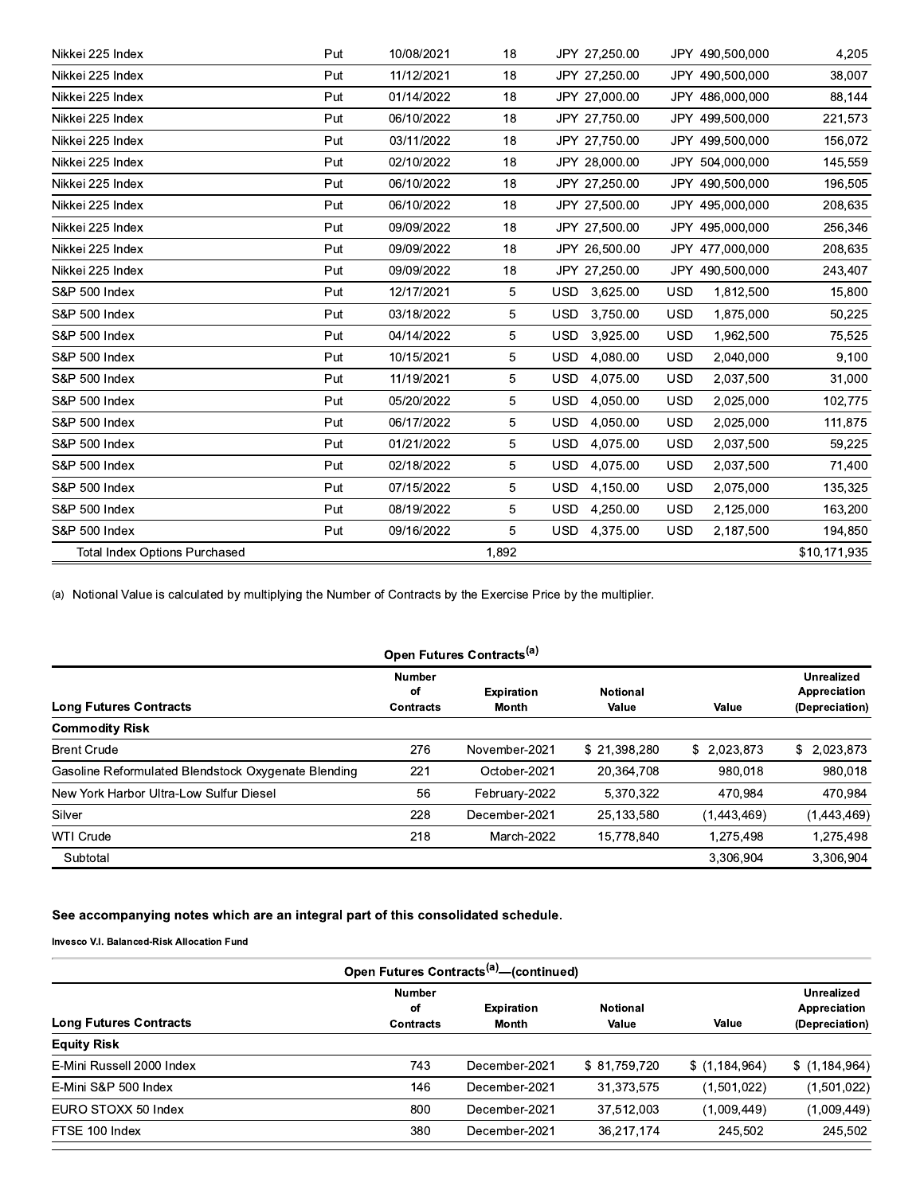| Nikkei 225 Index                     | Put | 10/08/2021 | 18    | JPY 27,250.00          | JPY 490,500,000         | 4,205        |
|--------------------------------------|-----|------------|-------|------------------------|-------------------------|--------------|
| Nikkei 225 Index                     | Put | 11/12/2021 | 18    | JPY 27,250.00          | JPY 490,500,000         | 38,007       |
| Nikkei 225 Index                     | Put | 01/14/2022 | 18    | JPY 27,000.00          | JPY 486,000,000         | 88,144       |
| Nikkei 225 Index                     | Put | 06/10/2022 | 18    | JPY 27,750.00          | JPY 499,500,000         | 221,573      |
| Nikkei 225 Index                     | Put | 03/11/2022 | 18    | JPY 27,750.00          | JPY 499,500,000         | 156,072      |
| Nikkei 225 Index                     | Put | 02/10/2022 | 18    | JPY 28,000.00          | JPY 504,000,000         | 145,559      |
| Nikkei 225 Index                     | Put | 06/10/2022 | 18    | JPY 27,250.00          | JPY 490,500,000         | 196,505      |
| Nikkei 225 Index                     | Put | 06/10/2022 | 18    | JPY 27,500.00          | JPY 495,000,000         | 208,635      |
| Nikkei 225 Index                     | Put | 09/09/2022 | 18    | JPY 27,500.00          | JPY 495,000,000         | 256,346      |
| Nikkei 225 Index                     | Put | 09/09/2022 | 18    | JPY 26,500.00          | JPY 477,000,000         | 208,635      |
| Nikkei 225 Index                     | Put | 09/09/2022 | 18    | JPY 27,250.00          | JPY 490,500,000         | 243,407      |
| <b>S&amp;P 500 Index</b>             | Put | 12/17/2021 | 5     | USD.<br>3,625.00       | <b>USD</b><br>1,812,500 | 15,800       |
| <b>S&amp;P 500 Index</b>             | Put | 03/18/2022 | 5     | <b>USD</b><br>3,750.00 | <b>USD</b><br>1,875,000 | 50,225       |
| <b>S&amp;P 500 Index</b>             | Put | 04/14/2022 | 5     | 3,925.00<br>USD.       | <b>USD</b><br>1,962,500 | 75,525       |
| S&P 500 Index                        | Put | 10/15/2021 | 5     | USD.<br>4,080.00       | <b>USD</b><br>2,040,000 | 9,100        |
| S&P 500 Index                        | Put | 11/19/2021 | 5     | 4,075.00<br>USD        | <b>USD</b><br>2,037,500 | 31,000       |
| <b>S&amp;P 500 Index</b>             | Put | 05/20/2022 | 5     | USD.<br>4,050.00       | <b>USD</b><br>2,025,000 | 102,775      |
| S&P 500 Index                        | Put | 06/17/2022 | 5     | 4,050.00<br>USD.       | <b>USD</b><br>2,025,000 | 111,875      |
| S&P 500 Index                        | Put | 01/21/2022 | 5     | 4,075.00<br>USD.       | <b>USD</b><br>2,037,500 | 59,225       |
| <b>S&amp;P 500 Index</b>             | Put | 02/18/2022 | 5     | 4,075.00<br>USD.       | <b>USD</b><br>2,037,500 | 71,400       |
| <b>S&amp;P 500 Index</b>             | Put | 07/15/2022 | 5     | 4,150.00<br>USD.       | <b>USD</b><br>2,075,000 | 135,325      |
| S&P 500 Index                        | Put | 08/19/2022 | 5     | USD.<br>4,250.00       | <b>USD</b><br>2,125,000 | 163,200      |
| <b>S&amp;P 500 Index</b>             | Put | 09/16/2022 | 5     | USD 4,375.00           | <b>USD</b><br>2,187,500 | 194,850      |
| <b>Total Index Options Purchased</b> |     |            | 1,892 |                        |                         | \$10,171,935 |

(a) Notional Value is calculated by multiplying the Number of Contracts by the Exercise Price by the multiplier.

|                                                     |                                  | Open Futures Contracts <sup>(a)</sup> |                          |             |                                                     |
|-----------------------------------------------------|----------------------------------|---------------------------------------|--------------------------|-------------|-----------------------------------------------------|
| <b>Long Futures Contracts</b>                       | <b>Number</b><br>оf<br>Contracts | <b>Expiration</b><br>Month            | <b>Notional</b><br>Value | Value       | <b>Unrealized</b><br>Appreciation<br>(Depreciation) |
| <b>Commodity Risk</b>                               |                                  |                                       |                          |             |                                                     |
| <b>Brent Crude</b>                                  | 276                              | November-2021                         | \$21,398,280             | \$2.023,873 | \$2,023,873                                         |
| Gasoline Reformulated Blendstock Oxygenate Blending | 221                              | October-2021                          | 20.364.708               | 980.018     | 980.018                                             |
| New York Harbor Ultra-Low Sulfur Diesel             | 56                               | February-2022                         | 5,370,322                | 470.984     | 470.984                                             |
| Silver                                              | 228                              | December-2021                         | 25,133,580               | (1,443,469) | (1,443,469)                                         |
| <b>WTI Crude</b>                                    | 218                              | March-2022                            | 15.778.840               | 1.275.498   | 1.275.498                                           |
| Subtotal                                            |                                  |                                       |                          | 3.306.904   | 3.306.904                                           |

### See accompanying notes which are an integral part of this consolidated schedule.

|                               |                                  | Open Futures Contracts <sup>(a)</sup> -(continued) |                          |                 |                                              |
|-------------------------------|----------------------------------|----------------------------------------------------|--------------------------|-----------------|----------------------------------------------|
| <b>Long Futures Contracts</b> | <b>Number</b><br>оf<br>Contracts | <b>Expiration</b><br>Month                         | <b>Notional</b><br>Value | Value           | Unrealized<br>Appreciation<br>(Depreciation) |
| <b>Equity Risk</b>            |                                  |                                                    |                          |                 |                                              |
| E-Mini Russell 2000 Index     | 743                              | December-2021                                      | \$81,759,720             | \$(1, 184, 964) | \$(1, 184, 964)                              |
| E-Mini S&P 500 Index          | 146                              | December-2021                                      | 31.373.575               | (1,501,022)     | (1,501,022)                                  |
| EURO STOXX 50 Index           | 800                              | December-2021                                      | 37.512.003               | (1,009,449)     | (1,009,449)                                  |
| FTSE 100 Index                | 380                              | December-2021                                      | 36,217,174               | 245.502         | 245,502                                      |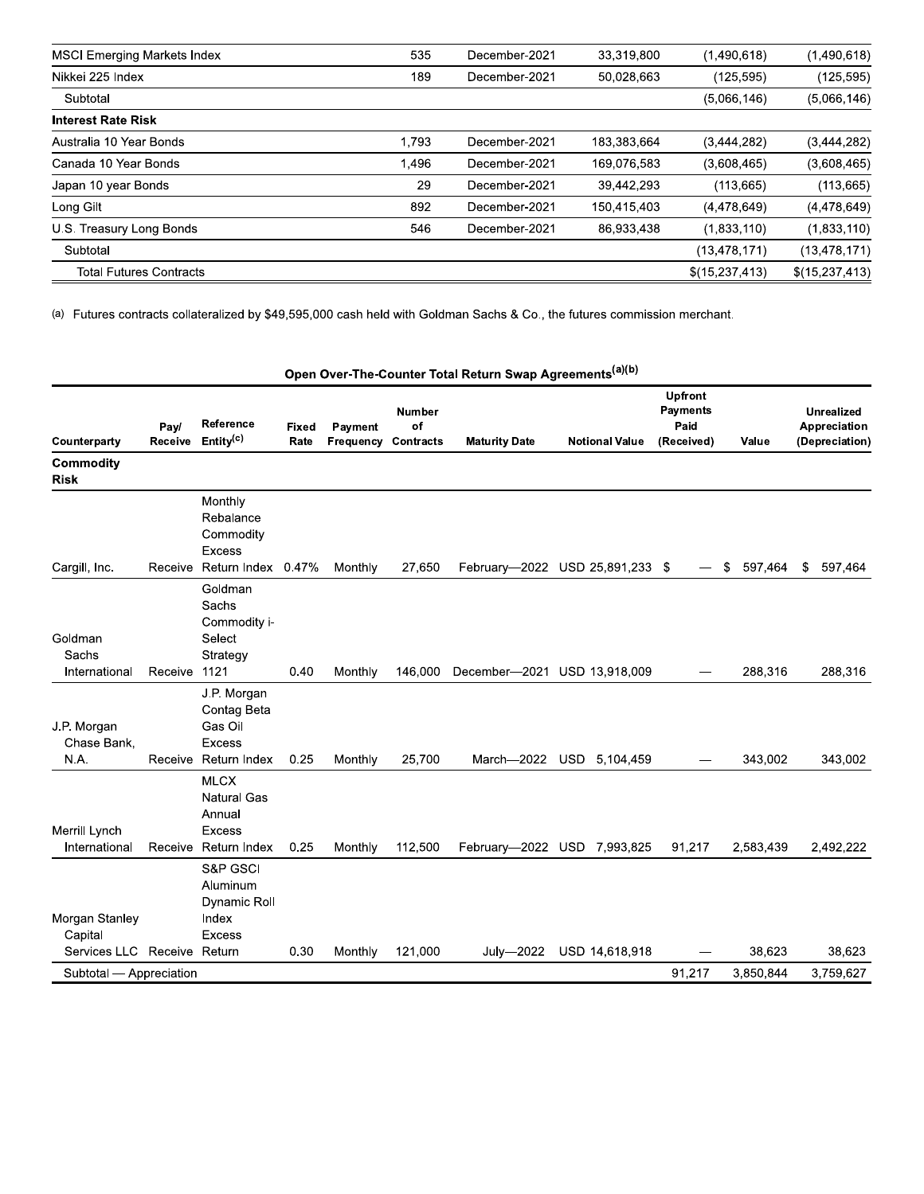| <b>MSCI Emerging Markets Index</b> | 535   | December-2021 | 33,319,800  | (1,490,618)    | (1,490,618)    |
|------------------------------------|-------|---------------|-------------|----------------|----------------|
| Nikkei 225 Index                   | 189   | December-2021 | 50,028,663  | (125, 595)     | (125, 595)     |
| Subtotal                           |       |               |             | (5,066,146)    | (5,066,146)    |
| <b>Interest Rate Risk</b>          |       |               |             |                |                |
| Australia 10 Year Bonds            | 1,793 | December-2021 | 183,383,664 | (3,444,282)    | (3,444,282)    |
| Canada 10 Year Bonds               | 1.496 | December-2021 | 169,076,583 | (3,608,465)    | (3,608,465)    |
| Japan 10 year Bonds                | 29    | December-2021 | 39,442,293  | (113, 665)     | (113, 665)     |
| Long Gilt                          | 892   | December-2021 | 150,415,403 | (4,478,649)    | (4,478,649)    |
| U.S. Treasury Long Bonds           | 546   | December-2021 | 86,933,438  | (1,833,110)    | (1,833,110)    |
| Subtotal                           |       |               |             | (13, 478, 171) | (13,478,171)   |
| <b>Total Futures Contracts</b>     |       |               |             | \$(15,237,413) | \$(15,237,413) |

(a) Futures contracts collateralized by \$49,595,000 cash held with Goldman Sachs & Co., the futures commission merchant.

|                                    |                 |                                                                              |               |                                       |              | Open Over-The-Counter Total Return Swap Agreements <sup>(a)(b)</sup> |                                 |                                                         |                 |                                                     |
|------------------------------------|-----------------|------------------------------------------------------------------------------|---------------|---------------------------------------|--------------|----------------------------------------------------------------------|---------------------------------|---------------------------------------------------------|-----------------|-----------------------------------------------------|
| Counterparty                       | Pay/<br>Receive | Reference<br>Entity <sup>(c)</sup>                                           | Fixed<br>Rate | Payment<br><b>Frequency Contracts</b> | Number<br>of | <b>Maturity Date</b>                                                 | <b>Notional Value</b>           | <b>Upfront</b><br><b>Payments</b><br>Paid<br>(Received) | Value           | <b>Unrealized</b><br>Appreciation<br>(Depreciation) |
| Commodity<br><b>Risk</b>           |                 |                                                                              |               |                                       |              |                                                                      |                                 |                                                         |                 |                                                     |
|                                    |                 | Monthly<br>Rebalance<br>Commodity<br><b>Excess</b>                           |               |                                       |              |                                                                      |                                 |                                                         |                 |                                                     |
| Cargill, Inc.                      |                 | Receive Return Index 0.47%<br>Goldman<br>Sachs<br>Commodity i-               |               | Monthly                               | 27,650       |                                                                      | February-2022 USD 25,891,233 \$ | $\overline{\phantom{m}}$                                | - \$<br>597,464 | 597,464<br>\$                                       |
| Goldman<br>Sachs<br>International  | Receive         | Select<br>Strategy<br>1121                                                   | 0.40          | Monthly                               | 146,000      | December-2021 USD 13,918,009                                         |                                 |                                                         | 288,316         | 288,316                                             |
| J.P. Morgan<br>Chase Bank,<br>N.A. | Receive         | J.P. Morgan<br>Contag Beta<br>Gas Oil<br><b>Excess</b><br>Return Index       | 0.25          | Monthly                               | 25,700       |                                                                      | March-2022 USD 5,104,459        |                                                         | 343,002         | 343,002                                             |
| Merrill Lynch<br>International     | Receive         | <b>MLCX</b><br><b>Natural Gas</b><br>Annual<br><b>Excess</b><br>Return Index | 0.25          | Monthly                               | 112,500      |                                                                      | February-2022 USD 7,993,825     | 91,217                                                  | 2,583,439       | 2,492,222                                           |
| Morgan Stanley<br>Capital          |                 | S&P GSCI<br>Aluminum<br>Dynamic Roll<br>Index<br><b>Excess</b>               |               |                                       |              |                                                                      |                                 |                                                         |                 |                                                     |
| Services LLC Receive Return        |                 |                                                                              | 0.30          | Monthly                               | 121,000      | July-2022                                                            | USD 14,618,918                  |                                                         | 38,623          | 38,623                                              |
| Subtotal - Appreciation            |                 |                                                                              |               |                                       |              |                                                                      |                                 | 91,217                                                  | 3,850,844       | 3,759,627                                           |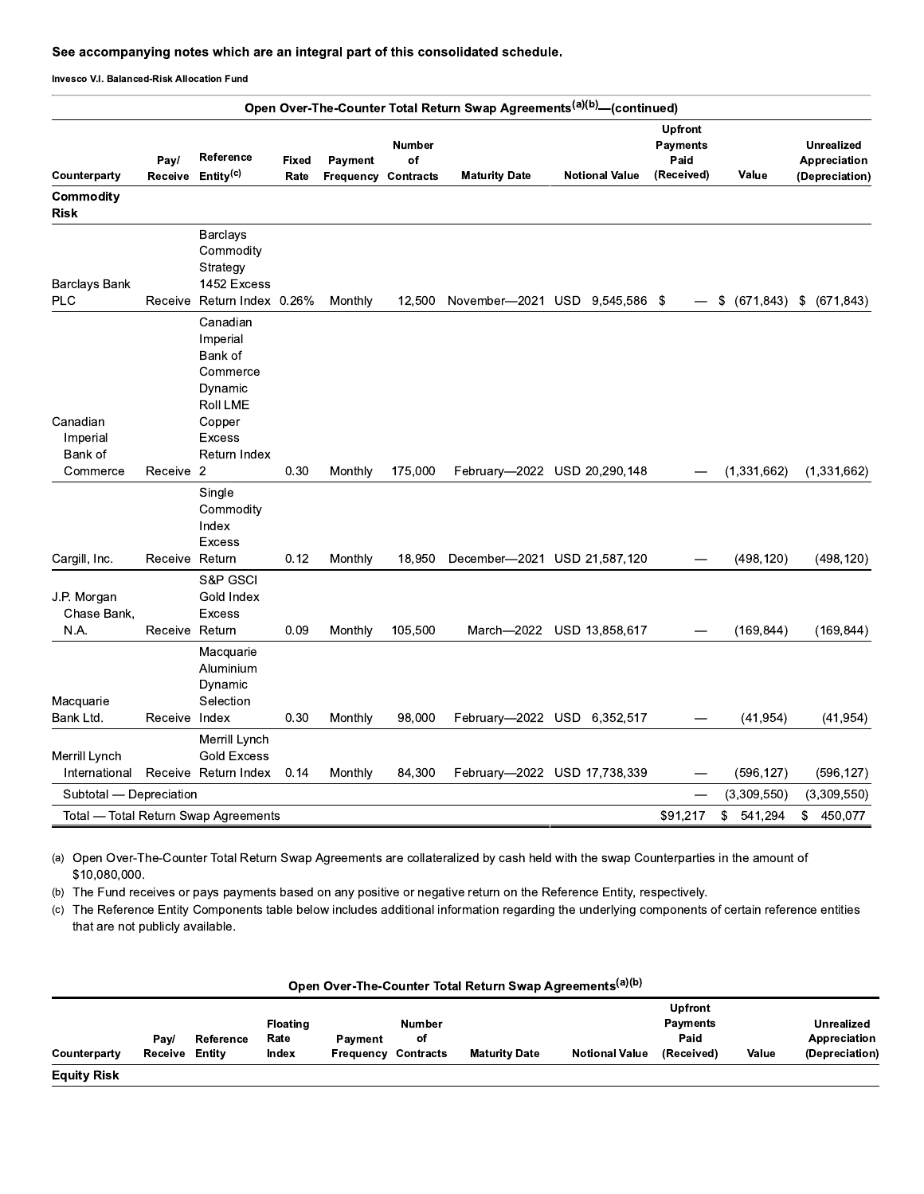|                                             |                                 |                                                                                       |               |                                       |                   | See accompanying notes which are an integral part of this consolidated schedule.  |                                               |                                                         |                         |                                                     |
|---------------------------------------------|---------------------------------|---------------------------------------------------------------------------------------|---------------|---------------------------------------|-------------------|-----------------------------------------------------------------------------------|-----------------------------------------------|---------------------------------------------------------|-------------------------|-----------------------------------------------------|
| Invesco V.I. Balanced-Risk Allocation Fund  |                                 |                                                                                       |               |                                       |                   |                                                                                   |                                               |                                                         |                         |                                                     |
|                                             |                                 |                                                                                       |               |                                       |                   | Open Over-The-Counter Total Return Swap Agreements <sup>(a)(b)</sup> -(continued) |                                               |                                                         |                         |                                                     |
| Counterparty                                | Pay/                            | Reference<br>Receive Entity <sup>(c)</sup>                                            | Fixed<br>Rate | Payment<br><b>Frequency Contracts</b> | Number<br>of      | <b>Maturity Date</b>                                                              | <b>Notional Value</b>                         | <b>Upfront</b><br><b>Payments</b><br>Paid<br>(Received) | Value                   | <b>Unrealized</b><br>Appreciation<br>(Depreciation) |
| Commodity<br><b>Risk</b>                    |                                 |                                                                                       |               |                                       |                   |                                                                                   |                                               |                                                         |                         |                                                     |
| Barclays Bank<br><b>PLC</b>                 |                                 | <b>Barclays</b><br>Commodity<br>Strategy<br>1452 Excess<br>Receive Return Index 0.26% |               | Monthly                               | 12,500            | November-2021 USD 9,545,586 \$                                                    |                                               |                                                         | \$                      | $(671,843)$ \$ $(671,843)$                          |
|                                             |                                 | Canadian<br>Imperial<br>Bank of<br>Commerce<br>Dynamic<br>Roll LME                    |               |                                       |                   |                                                                                   |                                               |                                                         |                         |                                                     |
| Canadian<br>Imperial<br>Bank of<br>Commerce | Receive 2                       | Copper<br><b>Excess</b><br>Return Index                                               | 0.30          | Monthly                               | 175,000           |                                                                                   | February-2022 USD 20,290,148                  |                                                         | (1,331,662)             | (1,331,662)                                         |
|                                             |                                 | Single<br>Commodity<br>Index<br><b>Excess</b>                                         |               |                                       |                   |                                                                                   |                                               |                                                         |                         |                                                     |
| Cargill, Inc.<br>J.P. Morgan<br>Chase Bank, | Receive Return                  | S&P GSCI<br>Gold Index<br><b>Excess</b>                                               | 0.12          | Monthly                               | 18,950            | December-2021 USD 21,587,120                                                      |                                               |                                                         | (498, 120)              | (498, 120)                                          |
| N.A.<br>Macquarie<br>Bank Ltd.              | Receive Return<br>Receive Index | Macquarie<br>Aluminium<br>Dynamic<br>Selection                                        | 0.09<br>0.30  | Monthly<br>Monthly                    | 105,500<br>98,000 | March-2022                                                                        | USD 13,858,617<br>February-2022 USD 6,352,517 |                                                         | (169, 844)<br>(41, 954) | (169, 844)<br>(41, 954)                             |
| Merrill Lynch<br>International              |                                 | Merrill Lynch<br><b>Gold Excess</b><br>Receive Return Index                           | 0.14          | Monthly                               | 84,300            |                                                                                   | February-2022 USD 17,738,339                  |                                                         | (596, 127)              | (596, 127)                                          |
| Subtotal - Depreciation                     |                                 |                                                                                       |               |                                       |                   |                                                                                   |                                               |                                                         | (3,309,550)             | (3,309,550)                                         |
|                                             |                                 | Total - Total Return Swap Agreements                                                  |               |                                       |                   |                                                                                   |                                               | \$91,217                                                | 541,294<br>SS.          | \$450,077                                           |

(a) Open Over-The-Counter Total Return Swap Agreements are collateralized by cash held with the swap Counterparties in the amount of  $$10,080,000.$ 

(b) The Fund receives or pays payments based on any positive or negative return on the Reference Entity, respectively.

(c) The Reference Entity Components table below includes additional information regarding the underlying components of certain reference entities that are not publicly available.

| <b>Upfront</b><br><b>Payments</b><br><b>Floating</b><br><b>Number</b><br>Paid<br>of<br>Rate<br>Reference<br>Pay/<br>Payment<br>Value<br>Receive<br><b>Notional Value</b><br>Entity<br>Index<br><b>Contracts</b><br><b>Maturity Date</b><br>(Received)<br>Counterparty<br>Frequency |                    |  |  | Open Over-The-Counter Total Return Swap Agreements <sup>(a)(b)</sup> |  |                   |
|------------------------------------------------------------------------------------------------------------------------------------------------------------------------------------------------------------------------------------------------------------------------------------|--------------------|--|--|----------------------------------------------------------------------|--|-------------------|
|                                                                                                                                                                                                                                                                                    |                    |  |  |                                                                      |  | <b>Unrealized</b> |
|                                                                                                                                                                                                                                                                                    |                    |  |  |                                                                      |  | Appreciation      |
|                                                                                                                                                                                                                                                                                    |                    |  |  |                                                                      |  | (Depreciation)    |
|                                                                                                                                                                                                                                                                                    | <b>Equity Risk</b> |  |  |                                                                      |  |                   |

### Open Over-The-Counter Total Return Swap Agreements<sup>(a)(b)</sup>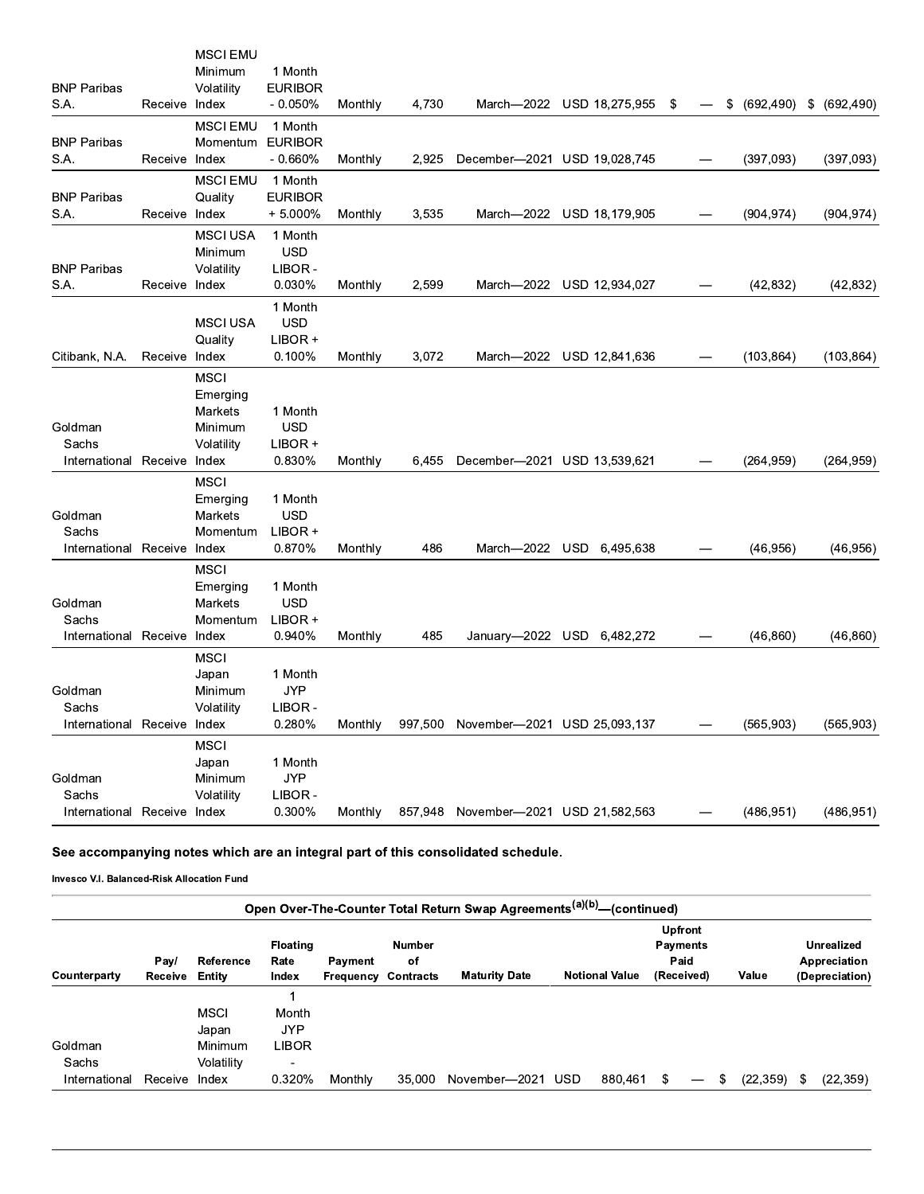|                                      |               | <b>MSCI EMU</b>            |                             |         |         |                                      |                            |    |                  |                  |
|--------------------------------------|---------------|----------------------------|-----------------------------|---------|---------|--------------------------------------|----------------------------|----|------------------|------------------|
|                                      |               | Minimum                    | 1 Month                     |         |         |                                      |                            |    |                  |                  |
| <b>BNP Paribas</b>                   |               | Volatility                 | <b>EURIBOR</b>              |         |         |                                      |                            |    |                  |                  |
| S.A.                                 | Receive Index |                            | $-0.050\%$                  | Monthly | 4,730   |                                      | March-2022 USD 18,275,955  | \$ | \$<br>(692, 490) | (692, 490)<br>\$ |
|                                      |               | <b>MSCI EMU</b>            | 1 Month                     |         |         |                                      |                            |    |                  |                  |
| <b>BNP Paribas</b><br>S.A.           | Receive Index | Momentum                   | <b>EURIBOR</b><br>$-0.660%$ | Monthly | 2.925   | December-2021 USD 19,028,745         |                            |    | (397,093)        | (397,093)        |
|                                      |               |                            |                             |         |         |                                      |                            |    |                  |                  |
| <b>BNP Paribas</b>                   |               | <b>MSCI EMU</b><br>Quality | 1 Month<br><b>EURIBOR</b>   |         |         |                                      |                            |    |                  |                  |
| S.A.                                 | Receive Index |                            | $+5.000%$                   | Monthly | 3,535   |                                      | March-2022 USD 18,179,905  |    | (904, 974)       | (904, 974)       |
|                                      |               | <b>MSCI USA</b>            | 1 Month                     |         |         |                                      |                            |    |                  |                  |
|                                      |               | Minimum                    | <b>USD</b>                  |         |         |                                      |                            |    |                  |                  |
| <b>BNP Paribas</b>                   |               | Volatility                 | LIBOR -                     |         |         |                                      |                            |    |                  |                  |
| S.A.                                 | Receive Index |                            | 0.030%                      | Monthly | 2,599   |                                      | March-2022 USD 12,934,027  |    | (42, 832)        | (42, 832)        |
|                                      |               |                            | 1 Month                     |         |         |                                      |                            |    |                  |                  |
|                                      |               | <b>MSCI USA</b>            | <b>USD</b>                  |         |         |                                      |                            |    |                  |                  |
|                                      |               | Quality                    | LIBOR +                     |         |         |                                      |                            |    |                  |                  |
| Citibank, N.A.                       | Receive Index |                            | 0.100%                      | Monthly | 3,072   |                                      | March-2022 USD 12,841,636  |    | (103, 864)       | (103, 864)       |
|                                      |               | <b>MSCI</b>                |                             |         |         |                                      |                            |    |                  |                  |
|                                      |               | Emerging                   |                             |         |         |                                      |                            |    |                  |                  |
|                                      |               | Markets                    | 1 Month                     |         |         |                                      |                            |    |                  |                  |
| Goldman                              |               | Minimum                    | <b>USD</b>                  |         |         |                                      |                            |    |                  |                  |
| Sachs<br>International Receive Index |               | Volatility                 | LIBOR +<br>0.830%           | Monthly | 6,455   | December-2021 USD 13,539,621         |                            |    | (264, 959)       | (264, 959)       |
|                                      |               |                            |                             |         |         |                                      |                            |    |                  |                  |
|                                      |               | <b>MSCI</b><br>Emerging    | 1 Month                     |         |         |                                      |                            |    |                  |                  |
| Goldman                              |               | Markets                    | <b>USD</b>                  |         |         |                                      |                            |    |                  |                  |
| Sachs                                |               | Momentum                   | LIBOR +                     |         |         |                                      |                            |    |                  |                  |
| International Receive Index          |               |                            | 0.870%                      | Monthly | 486     |                                      | March-2022 USD 6,495,638   |    | (46, 956)        | (46, 956)        |
|                                      |               | <b>MSCI</b>                |                             |         |         |                                      |                            |    |                  |                  |
|                                      |               | Emerging                   | 1 Month                     |         |         |                                      |                            |    |                  |                  |
| Goldman                              |               | Markets                    | <b>USD</b>                  |         |         |                                      |                            |    |                  |                  |
| Sachs                                |               | Momentum                   | LIBOR +                     |         |         |                                      |                            |    |                  |                  |
| International                        | Receive Index |                            | 0.940%                      | Monthly | 485     |                                      | January-2022 USD 6,482,272 |    | (46, 860)        | (46.860)         |
|                                      |               | <b>MSCI</b>                |                             |         |         |                                      |                            |    |                  |                  |
|                                      |               | Japan                      | 1 Month                     |         |         |                                      |                            |    |                  |                  |
| Goldman                              |               | Minimum                    | <b>JYP</b>                  |         |         |                                      |                            |    |                  |                  |
| Sachs                                |               | Volatility                 | LIBOR -                     |         |         |                                      |                            |    |                  |                  |
| International Receive Index          |               |                            | 0.280%                      | Monthly | 997,500 | November-2021 USD 25,093,137         |                            |    | (565, 903)       | (565, 903)       |
|                                      |               | <b>MSCI</b>                |                             |         |         |                                      |                            |    |                  |                  |
| Goldman                              |               | Japan<br>Minimum           | 1 Month<br><b>JYP</b>       |         |         |                                      |                            |    |                  |                  |
| Sachs                                |               | Volatility                 | LIBOR -                     |         |         |                                      |                            |    |                  |                  |
| International Receive Index          |               |                            | 0.300%                      | Monthly |         | 857,948 November-2021 USD 21,582,563 |                            |    | (486, 951)       | (486, 951)       |
|                                      |               |                            |                             |         |         |                                      |                            |    |                  |                  |

# See accompanying notes which are an integral part of this consolidated schedule.

| Open Over-The-Counter Total Return Swap Agreements <sup>(a)(b)</sup> —(continued) |                 |                     |                                  |                      |                                         |                      |     |                       |                                                         |                 |   |           |     |                                                     |
|-----------------------------------------------------------------------------------|-----------------|---------------------|----------------------------------|----------------------|-----------------------------------------|----------------------|-----|-----------------------|---------------------------------------------------------|-----------------|---|-----------|-----|-----------------------------------------------------|
| Counterparty                                                                      | Pay/<br>Receive | Reference<br>Entity | <b>Floating</b><br>Rate<br>Index | Payment<br>Frequency | <b>Number</b><br>оf<br><b>Contracts</b> | <b>Maturity Date</b> |     | <b>Notional Value</b> | <b>Upfront</b><br><b>Payments</b><br>Paid<br>(Received) |                 |   | Value     |     | <b>Unrealized</b><br>Appreciation<br>(Depreciation) |
|                                                                                   |                 |                     |                                  |                      |                                         |                      |     |                       |                                                         |                 |   |           |     |                                                     |
|                                                                                   |                 | <b>MSCI</b>         | Month                            |                      |                                         |                      |     |                       |                                                         |                 |   |           |     |                                                     |
|                                                                                   |                 | Japan               | <b>JYP</b>                       |                      |                                         |                      |     |                       |                                                         |                 |   |           |     |                                                     |
| Goldman                                                                           |                 | Minimum             | LIBOR                            |                      |                                         |                      |     |                       |                                                         |                 |   |           |     |                                                     |
| Sachs                                                                             |                 | Volatility          | $\overline{\phantom{0}}$         |                      |                                         |                      |     |                       |                                                         |                 |   |           |     |                                                     |
| International                                                                     | Receive         | Index               | 0.320%                           | Monthly              | 35,000                                  | November-2021        | USD | 880.461               | \$                                                      | $\qquad \qquad$ | S | (22, 359) | -\$ | (22, 359)                                           |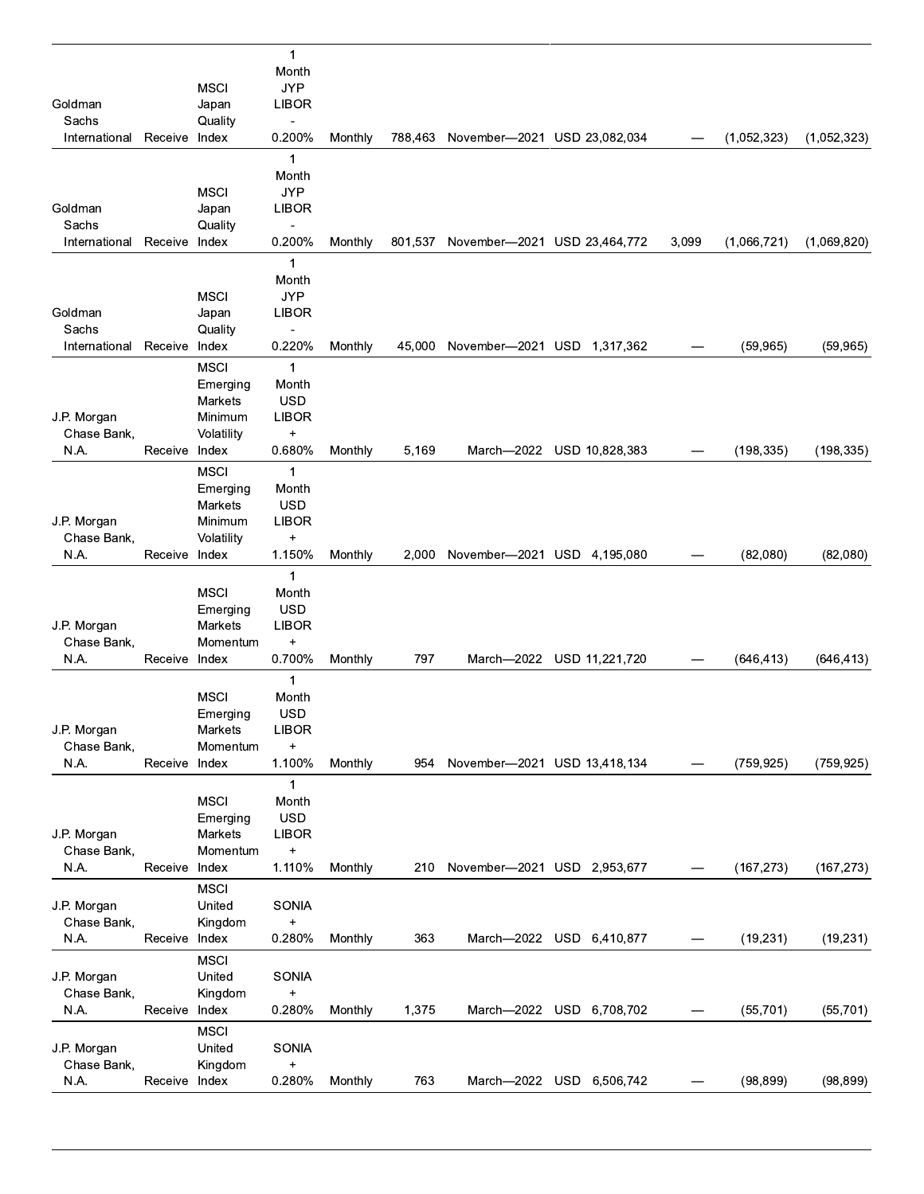| <b>JYP</b><br><b>MSCI</b><br><b>LIBOR</b><br>Goldman<br>Japan<br>Sachs<br>Quality<br>Ĭ,<br>Receive Index<br>0.200%<br>International<br>Monthly<br>788,463 November-2021 USD 23,082,034<br>(1,052,323)<br>(1,052,323)<br>$\mathbf{1}$<br>Month<br><b>MSCI</b><br><b>JYP</b><br><b>LIBOR</b><br>Goldman<br>Japan<br>Sachs<br>Quality<br>$\qquad \qquad \blacksquare$<br>0.200%<br>Receive Index<br>Monthly<br>801,537 November-2021 USD 23,464,772<br>3,099<br>(1,066,721)<br>(1,069,820)<br>International<br>$\mathbf{1}$<br>Month<br><b>JYP</b><br><b>MSCI</b><br>Goldman<br><b>LIBOR</b><br>Japan<br>Sachs<br>Quality<br>Ĭ.<br>0.220%<br>International<br>Receive Index<br>Monthly<br>45,000<br>November-2021 USD 1,317,362<br>(59, 965)<br>(59, 965)<br><b>MSCI</b><br>$\mathbf{1}$<br>Month<br>Emerging<br><b>USD</b><br>Markets<br>J.P. Morgan<br><b>LIBOR</b><br>Minimum<br>$\qquad \qquad +$<br>Chase Bank,<br>Volatility<br>N.A.<br>0.680%<br>Monthly<br>5,169<br>March-2022<br>USD 10,828,383<br>(198, 335)<br>(198, 335)<br>Receive Index<br><b>MSCI</b><br>$\mathbf{1}$<br>Month<br>Emerging<br><b>USD</b><br><b>Markets</b><br><b>LIBOR</b><br>J.P. Morgan<br>Minimum<br>Chase Bank,<br>Volatility<br>$\ddot{}$<br>N.A.<br>1.150%<br>Receive Index<br>Monthly<br>2,000<br>November-2021 USD 4,195,080<br>(82,080)<br>(82,080)<br>$\mathbf{1}$<br><b>MSCI</b><br>Month<br><b>USD</b><br>Emerging<br><b>LIBOR</b><br>J.P. Morgan<br>Markets<br>Chase Bank,<br>Momentum<br>$\ddot{}$<br>0.700%<br>N.A.<br>797<br>March-2022<br>USD 11,221,720<br>(646, 413)<br>(646, 413)<br>Receive Index<br>Monthly<br>$\mathbf{1}$<br><b>MSCI</b><br>Month<br><b>USD</b><br>Emerging<br>Markets<br><b>LIBOR</b><br>J.P. Morgan<br>Chase Bank,<br>Momentum<br>$\ddot{}$<br>N.A.<br>Receive Index<br>1.100%<br>Monthly<br>954<br>November-2021 USD 13,418,134<br>(759, 925)<br>(759, 925)<br>1<br><b>MSCI</b><br>Month<br><b>USD</b><br>Emerging<br><b>LIBOR</b><br>J.P. Morgan<br>Markets<br>$\qquad \qquad +$<br>Chase Bank,<br>Momentum<br>N.A.<br>Receive Index<br>1.110%<br>Monthly<br>November-2021 USD 2,953,677<br>(167, 273)<br>(167, 273)<br>210<br><b>MSCI</b><br>United<br>J.P. Morgan<br>SONIA<br>$\qquad \qquad +$<br>Chase Bank,<br>Kingdom<br>N.A.<br>0.280%<br>363<br>Receive Index<br>Monthly<br>March-2022 USD 6,410,877<br>(19, 231)<br>(19, 231)<br><b>MSCI</b><br>United<br>SONIA<br>J.P. Morgan<br>Chase Bank,<br>$\begin{array}{c} + \end{array}$<br>Kingdom<br>N.A.<br>Receive Index<br>0.280%<br>1,375<br>March-2022 USD 6,708,702<br>(55, 701)<br>(55, 701)<br>Monthly<br><b>MSCI</b><br>United<br>SONIA<br>J.P. Morgan<br>Kingdom<br>$\qquad \qquad +$<br>Chase Bank,<br>0.280%<br>N.A.<br>Receive Index<br>Monthly<br>763<br>March-2022 USD 6,506,742<br>(98, 899)<br>(98, 899) |  | $\mathbf{1}$<br>Month |  |  |  |  |
|-------------------------------------------------------------------------------------------------------------------------------------------------------------------------------------------------------------------------------------------------------------------------------------------------------------------------------------------------------------------------------------------------------------------------------------------------------------------------------------------------------------------------------------------------------------------------------------------------------------------------------------------------------------------------------------------------------------------------------------------------------------------------------------------------------------------------------------------------------------------------------------------------------------------------------------------------------------------------------------------------------------------------------------------------------------------------------------------------------------------------------------------------------------------------------------------------------------------------------------------------------------------------------------------------------------------------------------------------------------------------------------------------------------------------------------------------------------------------------------------------------------------------------------------------------------------------------------------------------------------------------------------------------------------------------------------------------------------------------------------------------------------------------------------------------------------------------------------------------------------------------------------------------------------------------------------------------------------------------------------------------------------------------------------------------------------------------------------------------------------------------------------------------------------------------------------------------------------------------------------------------------------------------------------------------------------------------------------------------------------------------------------------------------------------------------------------------------------------------------------------------------------------------------------------------------------------------------------------------------------------------------------------------------------------------------------------------------------------------------------------------------------------------------------------------|--|-----------------------|--|--|--|--|
|                                                                                                                                                                                                                                                                                                                                                                                                                                                                                                                                                                                                                                                                                                                                                                                                                                                                                                                                                                                                                                                                                                                                                                                                                                                                                                                                                                                                                                                                                                                                                                                                                                                                                                                                                                                                                                                                                                                                                                                                                                                                                                                                                                                                                                                                                                                                                                                                                                                                                                                                                                                                                                                                                                                                                                                                       |  |                       |  |  |  |  |
|                                                                                                                                                                                                                                                                                                                                                                                                                                                                                                                                                                                                                                                                                                                                                                                                                                                                                                                                                                                                                                                                                                                                                                                                                                                                                                                                                                                                                                                                                                                                                                                                                                                                                                                                                                                                                                                                                                                                                                                                                                                                                                                                                                                                                                                                                                                                                                                                                                                                                                                                                                                                                                                                                                                                                                                                       |  |                       |  |  |  |  |
|                                                                                                                                                                                                                                                                                                                                                                                                                                                                                                                                                                                                                                                                                                                                                                                                                                                                                                                                                                                                                                                                                                                                                                                                                                                                                                                                                                                                                                                                                                                                                                                                                                                                                                                                                                                                                                                                                                                                                                                                                                                                                                                                                                                                                                                                                                                                                                                                                                                                                                                                                                                                                                                                                                                                                                                                       |  |                       |  |  |  |  |
|                                                                                                                                                                                                                                                                                                                                                                                                                                                                                                                                                                                                                                                                                                                                                                                                                                                                                                                                                                                                                                                                                                                                                                                                                                                                                                                                                                                                                                                                                                                                                                                                                                                                                                                                                                                                                                                                                                                                                                                                                                                                                                                                                                                                                                                                                                                                                                                                                                                                                                                                                                                                                                                                                                                                                                                                       |  |                       |  |  |  |  |
|                                                                                                                                                                                                                                                                                                                                                                                                                                                                                                                                                                                                                                                                                                                                                                                                                                                                                                                                                                                                                                                                                                                                                                                                                                                                                                                                                                                                                                                                                                                                                                                                                                                                                                                                                                                                                                                                                                                                                                                                                                                                                                                                                                                                                                                                                                                                                                                                                                                                                                                                                                                                                                                                                                                                                                                                       |  |                       |  |  |  |  |
|                                                                                                                                                                                                                                                                                                                                                                                                                                                                                                                                                                                                                                                                                                                                                                                                                                                                                                                                                                                                                                                                                                                                                                                                                                                                                                                                                                                                                                                                                                                                                                                                                                                                                                                                                                                                                                                                                                                                                                                                                                                                                                                                                                                                                                                                                                                                                                                                                                                                                                                                                                                                                                                                                                                                                                                                       |  |                       |  |  |  |  |
|                                                                                                                                                                                                                                                                                                                                                                                                                                                                                                                                                                                                                                                                                                                                                                                                                                                                                                                                                                                                                                                                                                                                                                                                                                                                                                                                                                                                                                                                                                                                                                                                                                                                                                                                                                                                                                                                                                                                                                                                                                                                                                                                                                                                                                                                                                                                                                                                                                                                                                                                                                                                                                                                                                                                                                                                       |  |                       |  |  |  |  |
|                                                                                                                                                                                                                                                                                                                                                                                                                                                                                                                                                                                                                                                                                                                                                                                                                                                                                                                                                                                                                                                                                                                                                                                                                                                                                                                                                                                                                                                                                                                                                                                                                                                                                                                                                                                                                                                                                                                                                                                                                                                                                                                                                                                                                                                                                                                                                                                                                                                                                                                                                                                                                                                                                                                                                                                                       |  |                       |  |  |  |  |
|                                                                                                                                                                                                                                                                                                                                                                                                                                                                                                                                                                                                                                                                                                                                                                                                                                                                                                                                                                                                                                                                                                                                                                                                                                                                                                                                                                                                                                                                                                                                                                                                                                                                                                                                                                                                                                                                                                                                                                                                                                                                                                                                                                                                                                                                                                                                                                                                                                                                                                                                                                                                                                                                                                                                                                                                       |  |                       |  |  |  |  |
|                                                                                                                                                                                                                                                                                                                                                                                                                                                                                                                                                                                                                                                                                                                                                                                                                                                                                                                                                                                                                                                                                                                                                                                                                                                                                                                                                                                                                                                                                                                                                                                                                                                                                                                                                                                                                                                                                                                                                                                                                                                                                                                                                                                                                                                                                                                                                                                                                                                                                                                                                                                                                                                                                                                                                                                                       |  |                       |  |  |  |  |
|                                                                                                                                                                                                                                                                                                                                                                                                                                                                                                                                                                                                                                                                                                                                                                                                                                                                                                                                                                                                                                                                                                                                                                                                                                                                                                                                                                                                                                                                                                                                                                                                                                                                                                                                                                                                                                                                                                                                                                                                                                                                                                                                                                                                                                                                                                                                                                                                                                                                                                                                                                                                                                                                                                                                                                                                       |  |                       |  |  |  |  |
|                                                                                                                                                                                                                                                                                                                                                                                                                                                                                                                                                                                                                                                                                                                                                                                                                                                                                                                                                                                                                                                                                                                                                                                                                                                                                                                                                                                                                                                                                                                                                                                                                                                                                                                                                                                                                                                                                                                                                                                                                                                                                                                                                                                                                                                                                                                                                                                                                                                                                                                                                                                                                                                                                                                                                                                                       |  |                       |  |  |  |  |
|                                                                                                                                                                                                                                                                                                                                                                                                                                                                                                                                                                                                                                                                                                                                                                                                                                                                                                                                                                                                                                                                                                                                                                                                                                                                                                                                                                                                                                                                                                                                                                                                                                                                                                                                                                                                                                                                                                                                                                                                                                                                                                                                                                                                                                                                                                                                                                                                                                                                                                                                                                                                                                                                                                                                                                                                       |  |                       |  |  |  |  |
|                                                                                                                                                                                                                                                                                                                                                                                                                                                                                                                                                                                                                                                                                                                                                                                                                                                                                                                                                                                                                                                                                                                                                                                                                                                                                                                                                                                                                                                                                                                                                                                                                                                                                                                                                                                                                                                                                                                                                                                                                                                                                                                                                                                                                                                                                                                                                                                                                                                                                                                                                                                                                                                                                                                                                                                                       |  |                       |  |  |  |  |
|                                                                                                                                                                                                                                                                                                                                                                                                                                                                                                                                                                                                                                                                                                                                                                                                                                                                                                                                                                                                                                                                                                                                                                                                                                                                                                                                                                                                                                                                                                                                                                                                                                                                                                                                                                                                                                                                                                                                                                                                                                                                                                                                                                                                                                                                                                                                                                                                                                                                                                                                                                                                                                                                                                                                                                                                       |  |                       |  |  |  |  |
|                                                                                                                                                                                                                                                                                                                                                                                                                                                                                                                                                                                                                                                                                                                                                                                                                                                                                                                                                                                                                                                                                                                                                                                                                                                                                                                                                                                                                                                                                                                                                                                                                                                                                                                                                                                                                                                                                                                                                                                                                                                                                                                                                                                                                                                                                                                                                                                                                                                                                                                                                                                                                                                                                                                                                                                                       |  |                       |  |  |  |  |
|                                                                                                                                                                                                                                                                                                                                                                                                                                                                                                                                                                                                                                                                                                                                                                                                                                                                                                                                                                                                                                                                                                                                                                                                                                                                                                                                                                                                                                                                                                                                                                                                                                                                                                                                                                                                                                                                                                                                                                                                                                                                                                                                                                                                                                                                                                                                                                                                                                                                                                                                                                                                                                                                                                                                                                                                       |  |                       |  |  |  |  |
|                                                                                                                                                                                                                                                                                                                                                                                                                                                                                                                                                                                                                                                                                                                                                                                                                                                                                                                                                                                                                                                                                                                                                                                                                                                                                                                                                                                                                                                                                                                                                                                                                                                                                                                                                                                                                                                                                                                                                                                                                                                                                                                                                                                                                                                                                                                                                                                                                                                                                                                                                                                                                                                                                                                                                                                                       |  |                       |  |  |  |  |
|                                                                                                                                                                                                                                                                                                                                                                                                                                                                                                                                                                                                                                                                                                                                                                                                                                                                                                                                                                                                                                                                                                                                                                                                                                                                                                                                                                                                                                                                                                                                                                                                                                                                                                                                                                                                                                                                                                                                                                                                                                                                                                                                                                                                                                                                                                                                                                                                                                                                                                                                                                                                                                                                                                                                                                                                       |  |                       |  |  |  |  |
|                                                                                                                                                                                                                                                                                                                                                                                                                                                                                                                                                                                                                                                                                                                                                                                                                                                                                                                                                                                                                                                                                                                                                                                                                                                                                                                                                                                                                                                                                                                                                                                                                                                                                                                                                                                                                                                                                                                                                                                                                                                                                                                                                                                                                                                                                                                                                                                                                                                                                                                                                                                                                                                                                                                                                                                                       |  |                       |  |  |  |  |
|                                                                                                                                                                                                                                                                                                                                                                                                                                                                                                                                                                                                                                                                                                                                                                                                                                                                                                                                                                                                                                                                                                                                                                                                                                                                                                                                                                                                                                                                                                                                                                                                                                                                                                                                                                                                                                                                                                                                                                                                                                                                                                                                                                                                                                                                                                                                                                                                                                                                                                                                                                                                                                                                                                                                                                                                       |  |                       |  |  |  |  |
|                                                                                                                                                                                                                                                                                                                                                                                                                                                                                                                                                                                                                                                                                                                                                                                                                                                                                                                                                                                                                                                                                                                                                                                                                                                                                                                                                                                                                                                                                                                                                                                                                                                                                                                                                                                                                                                                                                                                                                                                                                                                                                                                                                                                                                                                                                                                                                                                                                                                                                                                                                                                                                                                                                                                                                                                       |  |                       |  |  |  |  |
|                                                                                                                                                                                                                                                                                                                                                                                                                                                                                                                                                                                                                                                                                                                                                                                                                                                                                                                                                                                                                                                                                                                                                                                                                                                                                                                                                                                                                                                                                                                                                                                                                                                                                                                                                                                                                                                                                                                                                                                                                                                                                                                                                                                                                                                                                                                                                                                                                                                                                                                                                                                                                                                                                                                                                                                                       |  |                       |  |  |  |  |
|                                                                                                                                                                                                                                                                                                                                                                                                                                                                                                                                                                                                                                                                                                                                                                                                                                                                                                                                                                                                                                                                                                                                                                                                                                                                                                                                                                                                                                                                                                                                                                                                                                                                                                                                                                                                                                                                                                                                                                                                                                                                                                                                                                                                                                                                                                                                                                                                                                                                                                                                                                                                                                                                                                                                                                                                       |  |                       |  |  |  |  |
|                                                                                                                                                                                                                                                                                                                                                                                                                                                                                                                                                                                                                                                                                                                                                                                                                                                                                                                                                                                                                                                                                                                                                                                                                                                                                                                                                                                                                                                                                                                                                                                                                                                                                                                                                                                                                                                                                                                                                                                                                                                                                                                                                                                                                                                                                                                                                                                                                                                                                                                                                                                                                                                                                                                                                                                                       |  |                       |  |  |  |  |
|                                                                                                                                                                                                                                                                                                                                                                                                                                                                                                                                                                                                                                                                                                                                                                                                                                                                                                                                                                                                                                                                                                                                                                                                                                                                                                                                                                                                                                                                                                                                                                                                                                                                                                                                                                                                                                                                                                                                                                                                                                                                                                                                                                                                                                                                                                                                                                                                                                                                                                                                                                                                                                                                                                                                                                                                       |  |                       |  |  |  |  |
|                                                                                                                                                                                                                                                                                                                                                                                                                                                                                                                                                                                                                                                                                                                                                                                                                                                                                                                                                                                                                                                                                                                                                                                                                                                                                                                                                                                                                                                                                                                                                                                                                                                                                                                                                                                                                                                                                                                                                                                                                                                                                                                                                                                                                                                                                                                                                                                                                                                                                                                                                                                                                                                                                                                                                                                                       |  |                       |  |  |  |  |
|                                                                                                                                                                                                                                                                                                                                                                                                                                                                                                                                                                                                                                                                                                                                                                                                                                                                                                                                                                                                                                                                                                                                                                                                                                                                                                                                                                                                                                                                                                                                                                                                                                                                                                                                                                                                                                                                                                                                                                                                                                                                                                                                                                                                                                                                                                                                                                                                                                                                                                                                                                                                                                                                                                                                                                                                       |  |                       |  |  |  |  |
|                                                                                                                                                                                                                                                                                                                                                                                                                                                                                                                                                                                                                                                                                                                                                                                                                                                                                                                                                                                                                                                                                                                                                                                                                                                                                                                                                                                                                                                                                                                                                                                                                                                                                                                                                                                                                                                                                                                                                                                                                                                                                                                                                                                                                                                                                                                                                                                                                                                                                                                                                                                                                                                                                                                                                                                                       |  |                       |  |  |  |  |
|                                                                                                                                                                                                                                                                                                                                                                                                                                                                                                                                                                                                                                                                                                                                                                                                                                                                                                                                                                                                                                                                                                                                                                                                                                                                                                                                                                                                                                                                                                                                                                                                                                                                                                                                                                                                                                                                                                                                                                                                                                                                                                                                                                                                                                                                                                                                                                                                                                                                                                                                                                                                                                                                                                                                                                                                       |  |                       |  |  |  |  |
|                                                                                                                                                                                                                                                                                                                                                                                                                                                                                                                                                                                                                                                                                                                                                                                                                                                                                                                                                                                                                                                                                                                                                                                                                                                                                                                                                                                                                                                                                                                                                                                                                                                                                                                                                                                                                                                                                                                                                                                                                                                                                                                                                                                                                                                                                                                                                                                                                                                                                                                                                                                                                                                                                                                                                                                                       |  |                       |  |  |  |  |
|                                                                                                                                                                                                                                                                                                                                                                                                                                                                                                                                                                                                                                                                                                                                                                                                                                                                                                                                                                                                                                                                                                                                                                                                                                                                                                                                                                                                                                                                                                                                                                                                                                                                                                                                                                                                                                                                                                                                                                                                                                                                                                                                                                                                                                                                                                                                                                                                                                                                                                                                                                                                                                                                                                                                                                                                       |  |                       |  |  |  |  |
|                                                                                                                                                                                                                                                                                                                                                                                                                                                                                                                                                                                                                                                                                                                                                                                                                                                                                                                                                                                                                                                                                                                                                                                                                                                                                                                                                                                                                                                                                                                                                                                                                                                                                                                                                                                                                                                                                                                                                                                                                                                                                                                                                                                                                                                                                                                                                                                                                                                                                                                                                                                                                                                                                                                                                                                                       |  |                       |  |  |  |  |
|                                                                                                                                                                                                                                                                                                                                                                                                                                                                                                                                                                                                                                                                                                                                                                                                                                                                                                                                                                                                                                                                                                                                                                                                                                                                                                                                                                                                                                                                                                                                                                                                                                                                                                                                                                                                                                                                                                                                                                                                                                                                                                                                                                                                                                                                                                                                                                                                                                                                                                                                                                                                                                                                                                                                                                                                       |  |                       |  |  |  |  |
|                                                                                                                                                                                                                                                                                                                                                                                                                                                                                                                                                                                                                                                                                                                                                                                                                                                                                                                                                                                                                                                                                                                                                                                                                                                                                                                                                                                                                                                                                                                                                                                                                                                                                                                                                                                                                                                                                                                                                                                                                                                                                                                                                                                                                                                                                                                                                                                                                                                                                                                                                                                                                                                                                                                                                                                                       |  |                       |  |  |  |  |
|                                                                                                                                                                                                                                                                                                                                                                                                                                                                                                                                                                                                                                                                                                                                                                                                                                                                                                                                                                                                                                                                                                                                                                                                                                                                                                                                                                                                                                                                                                                                                                                                                                                                                                                                                                                                                                                                                                                                                                                                                                                                                                                                                                                                                                                                                                                                                                                                                                                                                                                                                                                                                                                                                                                                                                                                       |  |                       |  |  |  |  |
|                                                                                                                                                                                                                                                                                                                                                                                                                                                                                                                                                                                                                                                                                                                                                                                                                                                                                                                                                                                                                                                                                                                                                                                                                                                                                                                                                                                                                                                                                                                                                                                                                                                                                                                                                                                                                                                                                                                                                                                                                                                                                                                                                                                                                                                                                                                                                                                                                                                                                                                                                                                                                                                                                                                                                                                                       |  |                       |  |  |  |  |
|                                                                                                                                                                                                                                                                                                                                                                                                                                                                                                                                                                                                                                                                                                                                                                                                                                                                                                                                                                                                                                                                                                                                                                                                                                                                                                                                                                                                                                                                                                                                                                                                                                                                                                                                                                                                                                                                                                                                                                                                                                                                                                                                                                                                                                                                                                                                                                                                                                                                                                                                                                                                                                                                                                                                                                                                       |  |                       |  |  |  |  |
|                                                                                                                                                                                                                                                                                                                                                                                                                                                                                                                                                                                                                                                                                                                                                                                                                                                                                                                                                                                                                                                                                                                                                                                                                                                                                                                                                                                                                                                                                                                                                                                                                                                                                                                                                                                                                                                                                                                                                                                                                                                                                                                                                                                                                                                                                                                                                                                                                                                                                                                                                                                                                                                                                                                                                                                                       |  |                       |  |  |  |  |
|                                                                                                                                                                                                                                                                                                                                                                                                                                                                                                                                                                                                                                                                                                                                                                                                                                                                                                                                                                                                                                                                                                                                                                                                                                                                                                                                                                                                                                                                                                                                                                                                                                                                                                                                                                                                                                                                                                                                                                                                                                                                                                                                                                                                                                                                                                                                                                                                                                                                                                                                                                                                                                                                                                                                                                                                       |  |                       |  |  |  |  |
|                                                                                                                                                                                                                                                                                                                                                                                                                                                                                                                                                                                                                                                                                                                                                                                                                                                                                                                                                                                                                                                                                                                                                                                                                                                                                                                                                                                                                                                                                                                                                                                                                                                                                                                                                                                                                                                                                                                                                                                                                                                                                                                                                                                                                                                                                                                                                                                                                                                                                                                                                                                                                                                                                                                                                                                                       |  |                       |  |  |  |  |
|                                                                                                                                                                                                                                                                                                                                                                                                                                                                                                                                                                                                                                                                                                                                                                                                                                                                                                                                                                                                                                                                                                                                                                                                                                                                                                                                                                                                                                                                                                                                                                                                                                                                                                                                                                                                                                                                                                                                                                                                                                                                                                                                                                                                                                                                                                                                                                                                                                                                                                                                                                                                                                                                                                                                                                                                       |  |                       |  |  |  |  |
|                                                                                                                                                                                                                                                                                                                                                                                                                                                                                                                                                                                                                                                                                                                                                                                                                                                                                                                                                                                                                                                                                                                                                                                                                                                                                                                                                                                                                                                                                                                                                                                                                                                                                                                                                                                                                                                                                                                                                                                                                                                                                                                                                                                                                                                                                                                                                                                                                                                                                                                                                                                                                                                                                                                                                                                                       |  |                       |  |  |  |  |
|                                                                                                                                                                                                                                                                                                                                                                                                                                                                                                                                                                                                                                                                                                                                                                                                                                                                                                                                                                                                                                                                                                                                                                                                                                                                                                                                                                                                                                                                                                                                                                                                                                                                                                                                                                                                                                                                                                                                                                                                                                                                                                                                                                                                                                                                                                                                                                                                                                                                                                                                                                                                                                                                                                                                                                                                       |  |                       |  |  |  |  |
|                                                                                                                                                                                                                                                                                                                                                                                                                                                                                                                                                                                                                                                                                                                                                                                                                                                                                                                                                                                                                                                                                                                                                                                                                                                                                                                                                                                                                                                                                                                                                                                                                                                                                                                                                                                                                                                                                                                                                                                                                                                                                                                                                                                                                                                                                                                                                                                                                                                                                                                                                                                                                                                                                                                                                                                                       |  |                       |  |  |  |  |
|                                                                                                                                                                                                                                                                                                                                                                                                                                                                                                                                                                                                                                                                                                                                                                                                                                                                                                                                                                                                                                                                                                                                                                                                                                                                                                                                                                                                                                                                                                                                                                                                                                                                                                                                                                                                                                                                                                                                                                                                                                                                                                                                                                                                                                                                                                                                                                                                                                                                                                                                                                                                                                                                                                                                                                                                       |  |                       |  |  |  |  |
|                                                                                                                                                                                                                                                                                                                                                                                                                                                                                                                                                                                                                                                                                                                                                                                                                                                                                                                                                                                                                                                                                                                                                                                                                                                                                                                                                                                                                                                                                                                                                                                                                                                                                                                                                                                                                                                                                                                                                                                                                                                                                                                                                                                                                                                                                                                                                                                                                                                                                                                                                                                                                                                                                                                                                                                                       |  |                       |  |  |  |  |
|                                                                                                                                                                                                                                                                                                                                                                                                                                                                                                                                                                                                                                                                                                                                                                                                                                                                                                                                                                                                                                                                                                                                                                                                                                                                                                                                                                                                                                                                                                                                                                                                                                                                                                                                                                                                                                                                                                                                                                                                                                                                                                                                                                                                                                                                                                                                                                                                                                                                                                                                                                                                                                                                                                                                                                                                       |  |                       |  |  |  |  |
|                                                                                                                                                                                                                                                                                                                                                                                                                                                                                                                                                                                                                                                                                                                                                                                                                                                                                                                                                                                                                                                                                                                                                                                                                                                                                                                                                                                                                                                                                                                                                                                                                                                                                                                                                                                                                                                                                                                                                                                                                                                                                                                                                                                                                                                                                                                                                                                                                                                                                                                                                                                                                                                                                                                                                                                                       |  |                       |  |  |  |  |
|                                                                                                                                                                                                                                                                                                                                                                                                                                                                                                                                                                                                                                                                                                                                                                                                                                                                                                                                                                                                                                                                                                                                                                                                                                                                                                                                                                                                                                                                                                                                                                                                                                                                                                                                                                                                                                                                                                                                                                                                                                                                                                                                                                                                                                                                                                                                                                                                                                                                                                                                                                                                                                                                                                                                                                                                       |  |                       |  |  |  |  |
|                                                                                                                                                                                                                                                                                                                                                                                                                                                                                                                                                                                                                                                                                                                                                                                                                                                                                                                                                                                                                                                                                                                                                                                                                                                                                                                                                                                                                                                                                                                                                                                                                                                                                                                                                                                                                                                                                                                                                                                                                                                                                                                                                                                                                                                                                                                                                                                                                                                                                                                                                                                                                                                                                                                                                                                                       |  |                       |  |  |  |  |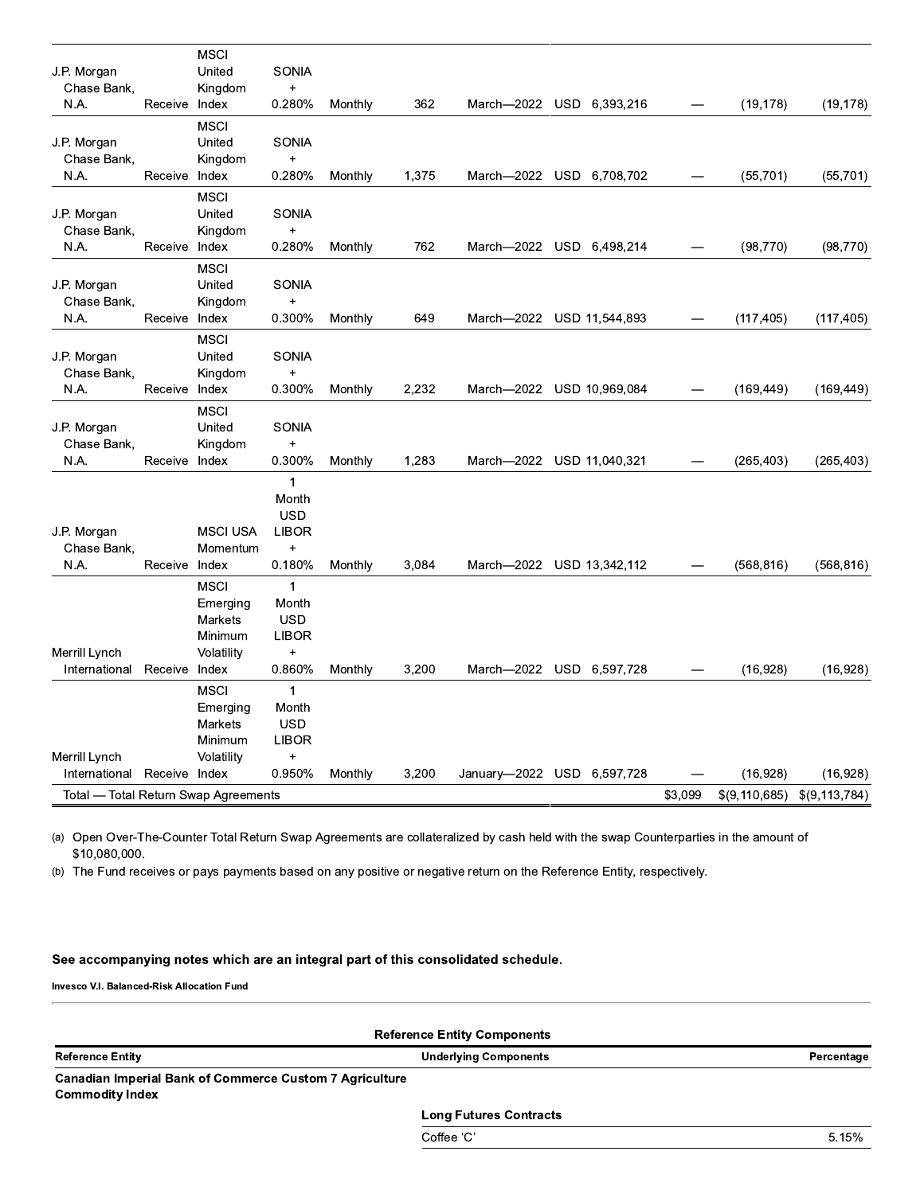|                                      |               | <b>MSCI</b><br>United     | <b>SONIA</b>        |         |       |                            |         |               |                 |
|--------------------------------------|---------------|---------------------------|---------------------|---------|-------|----------------------------|---------|---------------|-----------------|
| J.P. Morgan<br>Chase Bank,           |               | Kingdom                   | $\ddot{}$           |         |       |                            |         |               |                 |
| N.A.                                 | Receive Index |                           | 0.280%              | Monthly | 362   | March-2022 USD 6,393,216   |         | (19, 178)     | (19, 178)       |
|                                      |               | <b>MSCI</b>               |                     |         |       |                            |         |               |                 |
| J.P. Morgan                          |               | United                    | <b>SONIA</b>        |         |       |                            |         |               |                 |
| Chase Bank,                          |               | Kingdom                   | $\ddot{}$           |         |       |                            |         |               |                 |
| N.A.                                 | Receive Index |                           | 0.280%              | Monthly | 1,375 | March-2022 USD 6,708,702   |         | (55, 701)     | (55, 701)       |
|                                      |               | <b>MSCI</b>               |                     |         |       |                            |         |               |                 |
| J.P. Morgan                          |               | United                    | <b>SONIA</b>        |         |       |                            |         |               |                 |
| Chase Bank,                          |               | Kingdom                   | $\ddot{}$           |         |       |                            |         |               |                 |
| N.A.                                 | Receive Index |                           | 0.280%              | Monthly | 762   | March-2022 USD 6,498,214   |         | (98, 770)     | (98, 770)       |
|                                      |               | <b>MSCI</b>               |                     |         |       |                            |         |               |                 |
| J.P. Morgan                          |               | United                    | <b>SONIA</b>        |         |       |                            |         |               |                 |
| Chase Bank,<br>N.A.                  | Receive Index | Kingdom                   | $\ddot{}$<br>0.300% | Monthly | 649   | March-2022 USD 11,544,893  |         | (117, 405)    | (117, 405)      |
|                                      |               |                           |                     |         |       |                            |         |               |                 |
| J.P. Morgan                          |               | <b>MSCI</b><br>United     | <b>SONIA</b>        |         |       |                            |         |               |                 |
| Chase Bank,                          |               | Kingdom                   | $\ddot{}$           |         |       |                            |         |               |                 |
| N.A.                                 | Receive Index |                           | 0.300%              | Monthly | 2,232 | March-2022 USD 10,969,084  |         | (169, 449)    | (169, 449)      |
|                                      |               | <b>MSCI</b>               |                     |         |       |                            |         |               |                 |
| J.P. Morgan                          |               | United                    | <b>SONIA</b>        |         |       |                            |         |               |                 |
| Chase Bank,                          |               | Kingdom                   | $\ddot{}$           |         |       |                            |         |               |                 |
| N.A.                                 | Receive Index |                           | 0.300%              | Monthly | 1,283 | March-2022 USD 11,040,321  |         | (265, 403)    | (265, 403)      |
|                                      |               |                           | $\mathbf{1}$        |         |       |                            |         |               |                 |
|                                      |               |                           | Month               |         |       |                            |         |               |                 |
|                                      |               |                           | <b>USD</b>          |         |       |                            |         |               |                 |
| J.P. Morgan                          |               | <b>MSCI USA</b>           | <b>LIBOR</b>        |         |       |                            |         |               |                 |
| Chase Bank,                          |               | Momentum                  | $\ddot{}$           |         |       |                            |         |               |                 |
| N.A.                                 | Receive Index |                           | 0.180%              | Monthly | 3.084 | March-2022 USD 13,342,112  |         | (568, 816)    | (568, 816)      |
|                                      |               | <b>MSCI</b>               | $\mathbf{1}$        |         |       |                            |         |               |                 |
|                                      |               | Emerging                  | Month<br><b>USD</b> |         |       |                            |         |               |                 |
|                                      |               | <b>Markets</b><br>Minimum | <b>LIBOR</b>        |         |       |                            |         |               |                 |
| Merrill Lynch                        |               | Volatility                | $\ddot{}$           |         |       |                            |         |               |                 |
| International                        | Receive Index |                           | 0.860%              | Monthly | 3,200 | March-2022 USD 6,597,728   |         | (16,928)      | (16,928)        |
|                                      |               | <b>MSCI</b>               | $\mathbf{1}$        |         |       |                            |         |               |                 |
|                                      |               | Emerging                  | Month               |         |       |                            |         |               |                 |
|                                      |               | Markets                   | <b>USD</b>          |         |       |                            |         |               |                 |
|                                      |               | Minimum                   | <b>LIBOR</b>        |         |       |                            |         |               |                 |
| Merrill Lynch                        |               | Volatility                | $\ddot{}$           |         |       |                            |         |               |                 |
| International                        | Receive Index |                           | 0.950%              | Monthly | 3.200 | January-2022 USD 6,597,728 |         | (16, 928)     | (16.928)        |
| Total — Total Return Swap Agreements |               |                           |                     |         |       |                            | \$3,099 | \$(9,110,685) | \$(9, 113, 784) |

(a) Open Over-The-Counter Total Return Swap Agreements are collateralized by cash held with the swap Counterparties in the amount of \$10,080,000.

(b) The Fund receives or pays payments based on any positive or negative return on the Reference Entity, respectively.

#### See accompanying notes which are an integral part of this consolidated schedule.

| <b>Reference Entity Components</b>                                                       |                               |            |  |  |  |  |
|------------------------------------------------------------------------------------------|-------------------------------|------------|--|--|--|--|
| <b>Reference Entity</b>                                                                  | <b>Underlying Components</b>  | Percentage |  |  |  |  |
| <b>Canadian Imperial Bank of Commerce Custom 7 Agriculture</b><br><b>Commodity Index</b> |                               |            |  |  |  |  |
|                                                                                          | <b>Long Futures Contracts</b> |            |  |  |  |  |
|                                                                                          | Coffee 'C'                    | 5.15%      |  |  |  |  |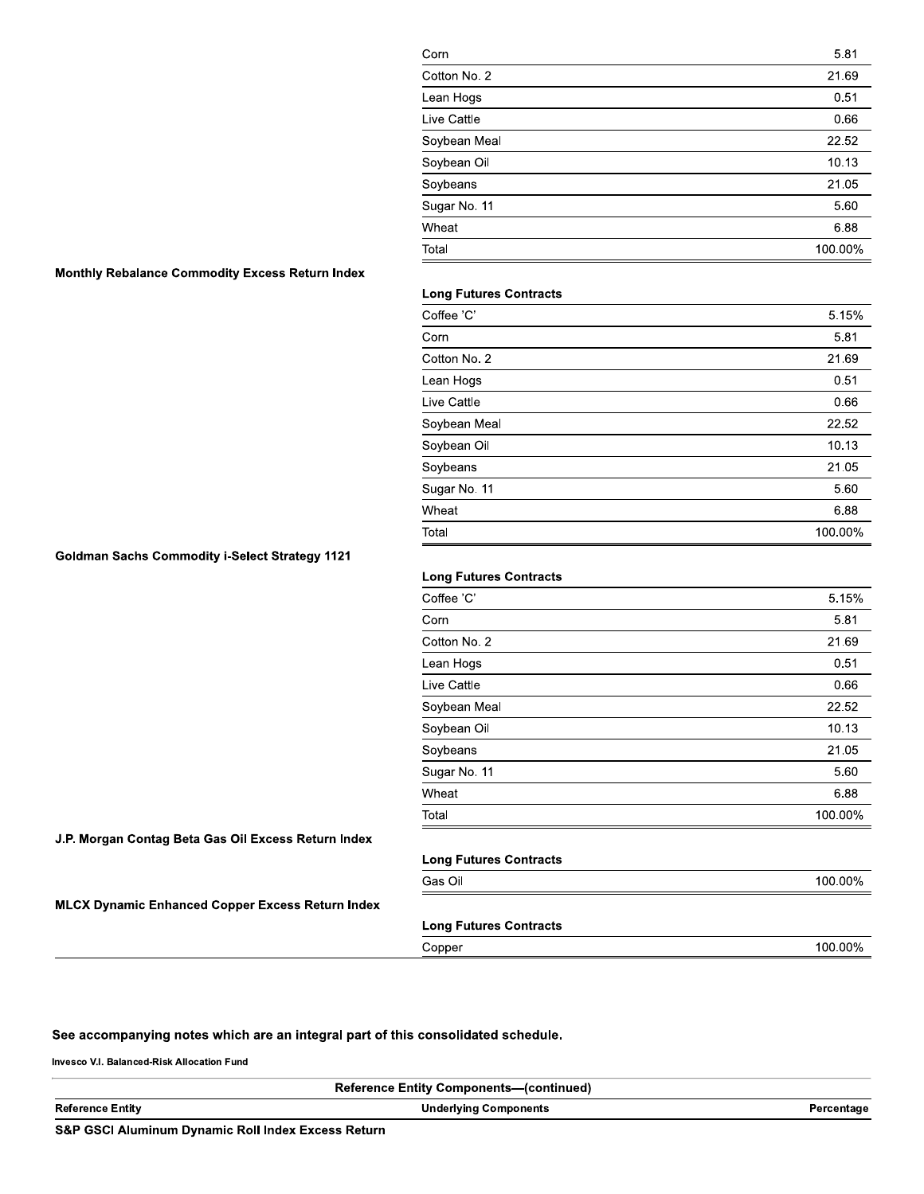| Corn         | 5.81    |
|--------------|---------|
| Cotton No. 2 | 21.69   |
| Lean Hogs    | 0.51    |
| Live Cattle  | 0.66    |
| Soybean Meal | 22.52   |
| Soybean Oil  | 10.13   |
| Soybeans     | 21.05   |
| Sugar No. 11 | 5.60    |
| Wheat        | 6.88    |
| Total        | 100.00% |

#### Monthly Rebalance Commodity Excess Return Index

#### **Long Futures Contracts**

| Coffee 'C'   | 5.15%   |
|--------------|---------|
| Corn         | 5.81    |
| Cotton No. 2 | 21.69   |
| Lean Hogs    | 0.51    |
| Live Cattle  | 0.66    |
| Soybean Meal | 22.52   |
| Soybean Oil  | 10.13   |
| Soybeans     | 21.05   |
| Sugar No. 11 | 5.60    |
| Wheat        | 6.88    |
| Total        | 100.00% |

### **Goldman Sachs Commodity i-Select Strategy 1121**

#### **Long Futures Contracts**

| Coffee 'C'   | 5.15%   |
|--------------|---------|
| Corn         | 5.81    |
| Cotton No. 2 | 21.69   |
| Lean Hogs    | 0.51    |
| Live Cattle  | 0.66    |
| Soybean Meal | 22.52   |
| Soybean Oil  | 10.13   |
| Soybeans     | 21.05   |
| Sugar No. 11 | 5.60    |
| Wheat        | 6.88    |
| Total        | 100.00% |

#### J.P. Morgan Contag Beta Gas Oil Excess Return Index

| <b>Long Futures Contracts</b> |         |
|-------------------------------|---------|
| Gas Oil                       | 100.00% |

100.00%

#### **MLCX Dynamic Enhanced Copper Excess Return Index**

| <b>Long Futures Contracts</b> |  |  |
|-------------------------------|--|--|
| Copper                        |  |  |

#### See accompanying notes which are an integral part of this consolidated schedule.

|                                                               | <b>Reference Entity Components—(continued)</b> |            |
|---------------------------------------------------------------|------------------------------------------------|------------|
| <b>Reference Entity</b>                                       | <b>Underlying Components</b>                   | Percentage |
| <b>S&amp;P GSCI Aluminum Dynamic Roll Index Excess Return</b> |                                                |            |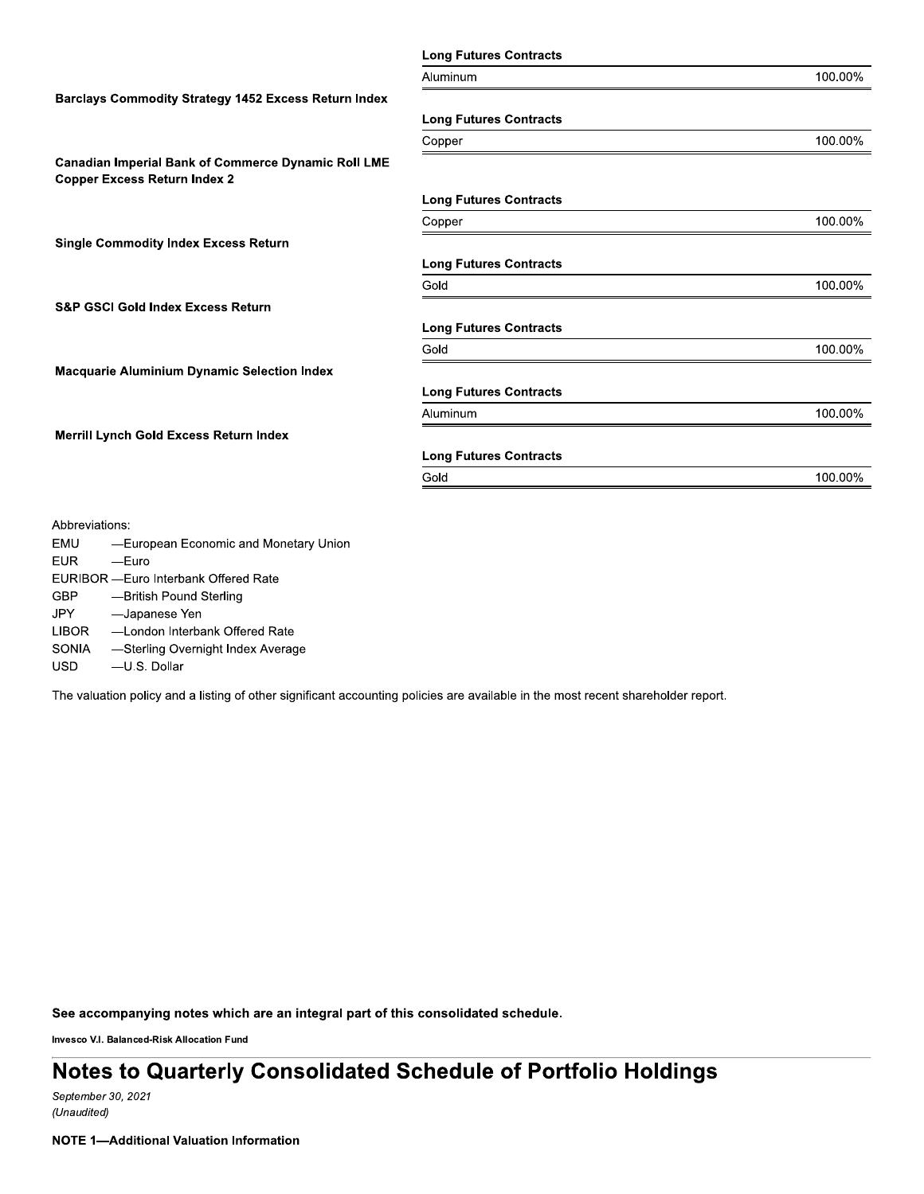|                                                                                                   | <b>Long Futures Contracts</b> |         |
|---------------------------------------------------------------------------------------------------|-------------------------------|---------|
|                                                                                                   | Aluminum                      | 100.00% |
| <b>Barclays Commodity Strategy 1452 Excess Return Index</b>                                       |                               |         |
|                                                                                                   | <b>Long Futures Contracts</b> |         |
|                                                                                                   | Copper                        | 100.00% |
| <b>Canadian Imperial Bank of Commerce Dynamic Roll LME</b><br><b>Copper Excess Return Index 2</b> |                               |         |
|                                                                                                   | <b>Long Futures Contracts</b> |         |
|                                                                                                   | Copper                        | 100.00% |
| <b>Single Commodity Index Excess Return</b>                                                       |                               |         |
|                                                                                                   | <b>Long Futures Contracts</b> |         |
|                                                                                                   | Gold                          | 100.00% |
| <b>S&amp;P GSCI Gold Index Excess Return</b>                                                      |                               |         |
|                                                                                                   | <b>Long Futures Contracts</b> |         |
|                                                                                                   | Gold                          | 100.00% |
| <b>Macquarie Aluminium Dynamic Selection Index</b>                                                |                               |         |
|                                                                                                   | <b>Long Futures Contracts</b> |         |
|                                                                                                   | Aluminum                      | 100.00% |
| Merrill Lynch Gold Excess Return Index                                                            |                               |         |
|                                                                                                   | <b>Long Futures Contracts</b> |         |
|                                                                                                   | Gold                          | 100.00% |
|                                                                                                   |                               |         |
| Abbreviations:                                                                                    |                               |         |
| <b>EMU</b><br>-European Economic and Monetary Union                                               |                               |         |
| <b>EUR</b><br>$-$ Euro                                                                            |                               |         |
| EURIBOR - Euro Interbank Offered Rate                                                             |                               |         |
| <b>GBP</b><br>-British Pound Sterling                                                             |                               |         |
| -Japanese Yen<br>JPY.                                                                             |                               |         |
| <b>LIBOR</b><br>-London Interbank Offered Rate                                                    |                               |         |

SONIA -Sterling Overnight Index Average

**USD** -U.S. Dollar

The valuation policy and a listing of other significant accounting policies are available in the most recent shareholder report.

See accompanying notes which are an integral part of this consolidated schedule.

Invesco V.I. Balanced-Risk Allocation Fund

# Notes to Quarterly Consolidated Schedule of Portfolio Holdings

September 30, 2021 (Unaudited)

**NOTE 1-Additional Valuation Information**